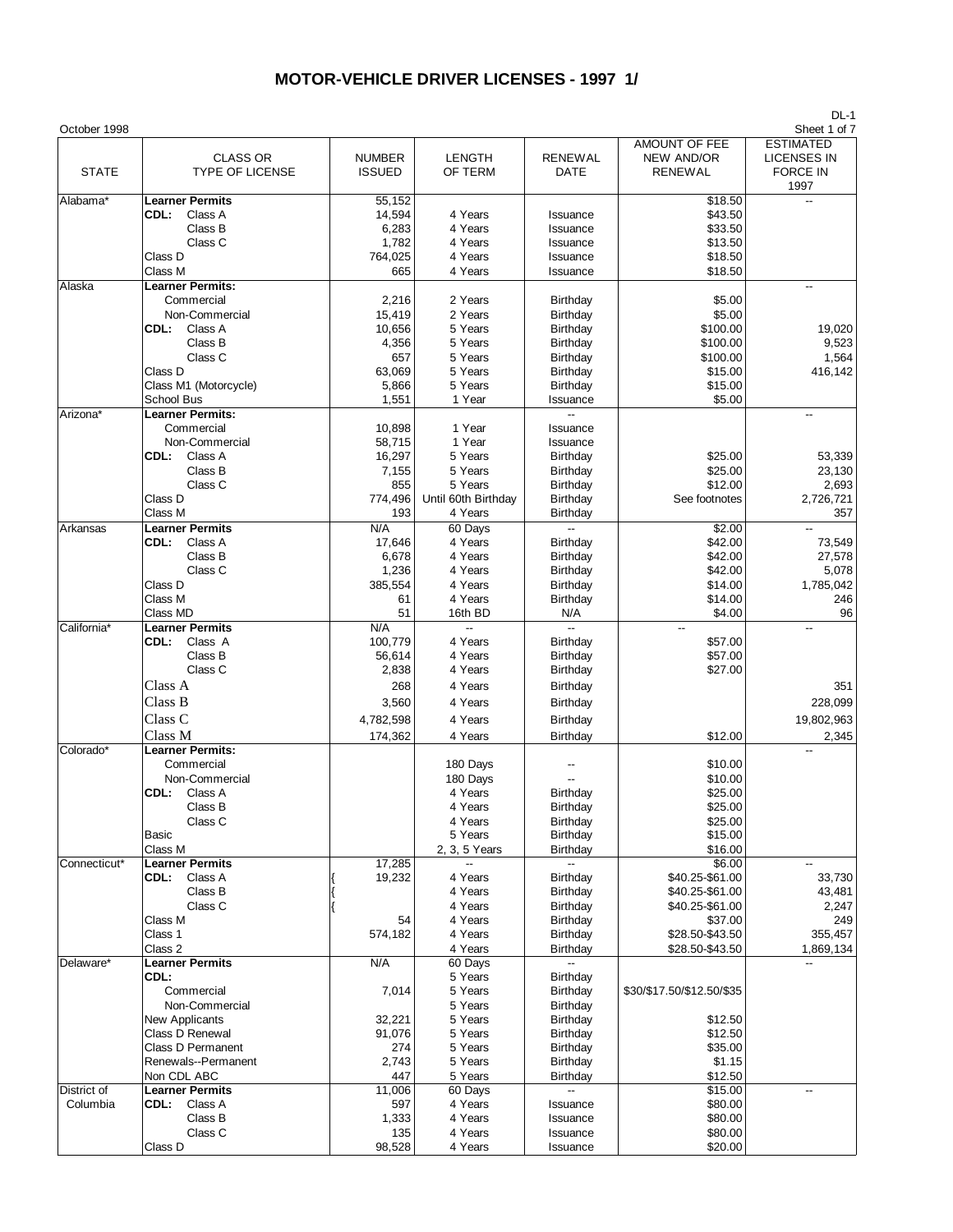| October 1998 |                         |               |                     |                          |                           | Sheet 1 of 7             |
|--------------|-------------------------|---------------|---------------------|--------------------------|---------------------------|--------------------------|
|              |                         |               |                     |                          | AMOUNT OF FEE             | <b>ESTIMATED</b>         |
|              | <b>CLASS OR</b>         | <b>NUMBER</b> | <b>LENGTH</b>       | <b>RENEWAL</b>           | <b>NEW AND/OR</b>         | <b>LICENSES IN</b>       |
| <b>STATE</b> | <b>TYPE OF LICENSE</b>  | <b>ISSUED</b> | OF TERM             | DATE                     | RENEWAL                   | <b>FORCE IN</b>          |
|              |                         |               |                     |                          |                           | 1997                     |
| Alabama*     | <b>Learner Permits</b>  | 55,152        |                     |                          | \$18.50                   | Ξ.                       |
|              | Class A<br>CDL:         | 14,594        | 4 Years             | Issuance                 | \$43.50                   |                          |
|              | Class B                 | 6,283         | 4 Years             | Issuance                 | \$33.50                   |                          |
|              | Class C                 | 1,782         | 4 Years             | Issuance                 | \$13.50                   |                          |
|              | Class D                 | 764,025       | 4 Years             | Issuance                 | \$18.50                   |                          |
|              | Class M                 | 665           | 4 Years             |                          | \$18.50                   |                          |
|              |                         |               |                     | Issuance                 |                           |                          |
| Alaska       | <b>Learner Permits:</b> |               |                     |                          |                           | $\overline{\phantom{a}}$ |
|              | Commercial              | 2,216         | 2 Years             | Birthday                 | \$5.00                    |                          |
|              | Non-Commercial          | 15,419        | 2 Years             | Birthday                 | \$5.00                    |                          |
|              | CDL:<br>Class A         | 10,656        | 5 Years             | Birthday                 | \$100.00                  | 19,020                   |
|              | Class B                 | 4,356         | 5 Years             | Birthday                 | \$100.00                  | 9,523                    |
|              | Class C                 | 657           | 5 Years             | Birthday                 | \$100.00                  | 1,564                    |
|              | Class D                 | 63,069        | 5 Years             | Birthday                 | \$15.00                   | 416,142                  |
|              | Class M1 (Motorcycle)   | 5,866         | 5 Years             | Birthday                 | \$15.00                   |                          |
|              | School Bus              | 1,551         | 1 Year              | Issuance                 | \$5.00                    |                          |
| Arizona*     | <b>Learner Permits:</b> |               |                     |                          |                           |                          |
|              | Commercial              | 10,898        | 1 Year              | Issuance                 |                           |                          |
|              | Non-Commercial          | 58,715        | 1 Year              | Issuance                 |                           |                          |
|              |                         |               |                     |                          |                           |                          |
|              | CDL:<br>Class A         | 16,297        | 5 Years             | Birthday                 | \$25.00                   | 53,339                   |
|              | Class B                 | 7,155         | 5 Years             | Birthday                 | \$25.00                   | 23,130                   |
|              | Class C                 | 855           | 5 Years             | Birthday                 | \$12.00                   | 2,693                    |
|              | Class D                 | 774,496       | Until 60th Birthday | Birthday                 | See footnotes             | 2,726,721                |
|              | Class M                 | 193           | 4 Years             | Birthday                 |                           | 357                      |
| Arkansas     | <b>Learner Permits</b>  | N/A           | 60 Days             | ш.                       | \$2.00                    |                          |
|              | Class A<br>CDL:         | 17,646        | 4 Years             | Birthday                 | \$42.00                   | 73,549                   |
|              | Class B                 | 6,678         | 4 Years             | Birthday                 | \$42.00                   | 27,578                   |
|              | Class C                 | 1,236         | 4 Years             | Birthday                 | \$42.00                   | 5,078                    |
|              | Class D                 | 385,554       | 4 Years             | Birthday                 | \$14.00                   | 1,785,042                |
|              | Class M                 | 61            | 4 Years             | Birthday                 | \$14.00                   | 246                      |
|              | Class MD                | 51            | 16th BD             | N/A                      | \$4.00                    | 96                       |
| California*  | <b>Learner Permits</b>  | N/A           | --                  |                          |                           |                          |
|              |                         |               |                     |                          |                           |                          |
|              | CDL:<br>Class A         | 100,779       | 4 Years             | Birthday                 | \$57.00                   |                          |
|              | Class B                 | 56,614        | 4 Years             | Birthday                 | \$57.00                   |                          |
|              | Class C                 | 2,838         | 4 Years             | <b>Birthday</b>          | \$27.00                   |                          |
|              | Class A                 | 268           | 4 Years             | Birthday                 |                           | 351                      |
|              | Class B                 | 3,560         | 4 Years             | Birthday                 |                           | 228,099                  |
|              | Class <sub>C</sub>      |               |                     |                          |                           | 19,802,963               |
|              |                         | 4,782,598     | 4 Years             | Birthday                 |                           |                          |
|              | Class M                 | 174,362       | 4 Years             | Birthday                 | \$12.00                   | 2,345                    |
| Colorado*    | <b>Learner Permits:</b> |               |                     |                          |                           |                          |
|              | Commercial              |               | 180 Days            |                          | \$10.00                   |                          |
|              | Non-Commercial          |               | 180 Days            |                          | \$10.00                   |                          |
|              | Class A<br>CDL:         |               | 4 Years             | Birthday                 | \$25.00                   |                          |
|              | Class B                 |               | 4 Years             | Birthday                 | \$25.00                   |                          |
|              | Class C                 |               | 4 Years             | Birthday                 | \$25.00                   |                          |
|              | <b>Basic</b>            |               | 5 Years             | Birthday                 | \$15.00                   |                          |
|              | Class M                 |               | 2, 3, 5 Years       | Birthday                 | \$16.00                   |                          |
|              | <b>Learner Permits</b>  | 17,285        | --                  | $\overline{\phantom{a}}$ | \$6.00                    |                          |
| Connecticut* |                         |               |                     |                          |                           |                          |
|              | <b>CDL:</b> Class A     | 19,232        | 4 Years             | Birthday                 | \$40.25-\$61.00           | 33,730                   |
|              | Class B                 |               | 4 Years             | Birthday                 | \$40.25-\$61.00           | 43,481                   |
|              | Class C                 |               | 4 Years             | Birthday                 | \$40.25-\$61.00           | 2,247                    |
|              | Class M                 | 54            | 4 Years             | Birthday                 | \$37.00                   | 249                      |
|              | Class 1                 | 574,182       | 4 Years             | Birthday                 | \$28.50-\$43.50           | 355,457                  |
|              | Class 2                 |               | 4 Years             | Birthday                 | \$28.50-\$43.50           | 1,869,134                |
| Delaware*    | <b>Learner Permits</b>  | N/A           | 60 Days             | $\overline{\phantom{a}}$ |                           |                          |
|              | CDL:                    |               | 5 Years             | Birthday                 |                           |                          |
|              | Commercial              | 7,014         | 5 Years             | Birthday                 | \$30/\$17.50/\$12.50/\$35 |                          |
|              | Non-Commercial          |               | 5 Years             | Birthday                 |                           |                          |
|              | <b>New Applicants</b>   | 32,221        | 5 Years             | Birthday                 | \$12.50                   |                          |
|              | Class D Renewal         | 91,076        | 5 Years             | Birthday                 | \$12.50                   |                          |
|              |                         |               |                     |                          |                           |                          |
|              | Class D Permanent       | 274           | 5 Years             | Birthday                 | \$35.00                   |                          |
|              | Renewals--Permanent     | 2,743         | 5 Years             | Birthday                 | \$1.15                    |                          |
|              | Non CDL ABC             | 447           | 5 Years             | Birthday                 | \$12.50                   |                          |
| District of  | <b>Learner Permits</b>  | 11,006        | 60 Days             |                          | \$15.00                   | --                       |
| Columbia     | CDL: Class A            | 597           | 4 Years             | Issuance                 | \$80.00                   |                          |
|              | Class B                 | 1,333         | 4 Years             | Issuance                 | \$80.00                   |                          |
|              | Class C                 | 135           | 4 Years             | Issuance                 | \$80.00                   |                          |
|              | Class D                 | 98,528        | 4 Years             | Issuance                 | \$20.00                   |                          |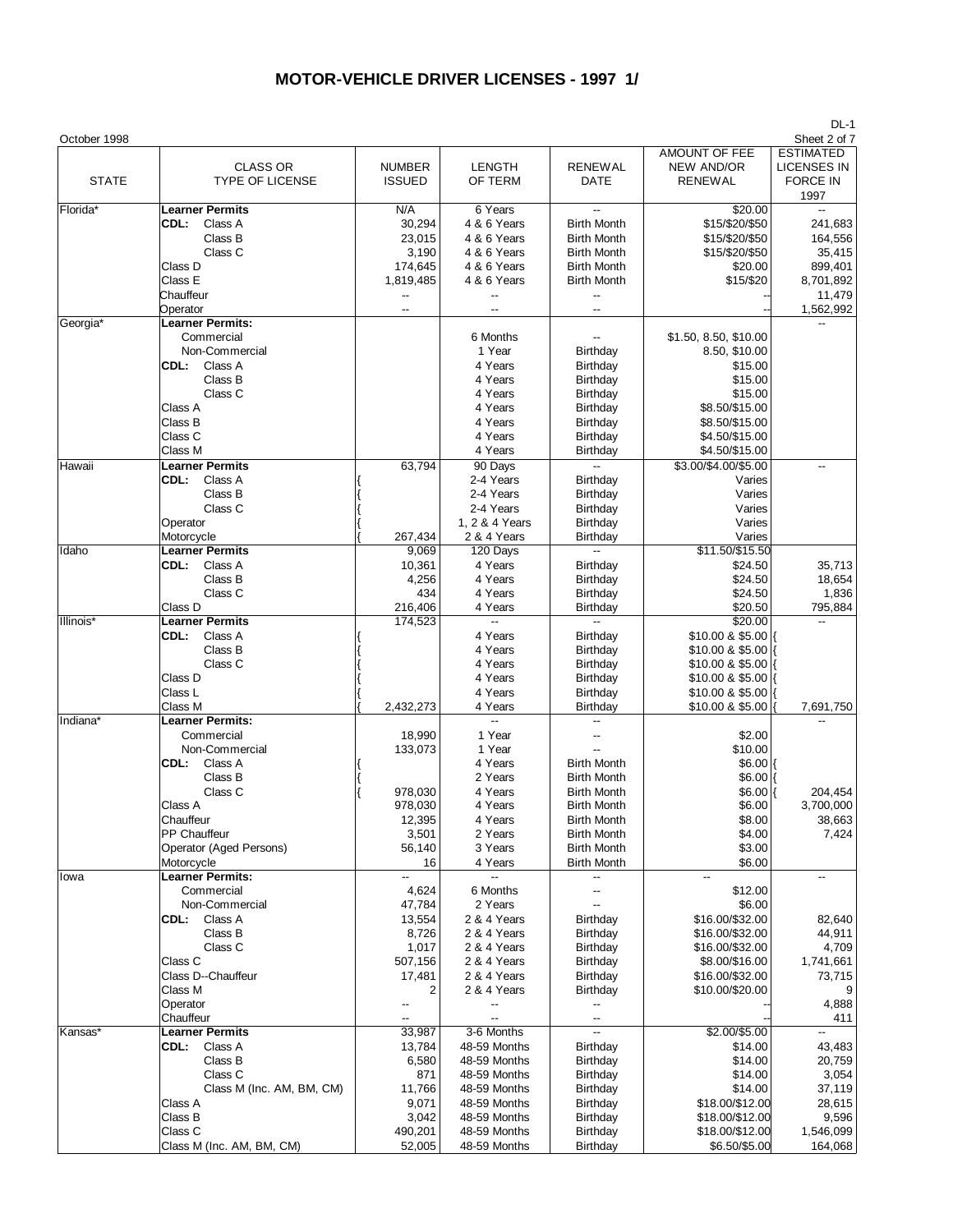| October 1998 |                                                                                                                                                                                              |                                                                                                                  |                                                                                                                                                 |                                                                                                                                                                                          |                                                                                                                                                 | Sheet 2 of 7                                                                                            |
|--------------|----------------------------------------------------------------------------------------------------------------------------------------------------------------------------------------------|------------------------------------------------------------------------------------------------------------------|-------------------------------------------------------------------------------------------------------------------------------------------------|------------------------------------------------------------------------------------------------------------------------------------------------------------------------------------------|-------------------------------------------------------------------------------------------------------------------------------------------------|---------------------------------------------------------------------------------------------------------|
| <b>STATE</b> | <b>CLASS OR</b><br><b>TYPE OF LICENSE</b>                                                                                                                                                    | <b>NUMBER</b><br><b>ISSUED</b>                                                                                   | <b>LENGTH</b><br>OF TERM                                                                                                                        | <b>RENEWAL</b><br>DATE                                                                                                                                                                   | <b>AMOUNT OF FEE</b><br><b>NEW AND/OR</b><br><b>RENEWAL</b>                                                                                     | <b>ESTIMATED</b><br><b>LICENSES IN</b><br><b>FORCE IN</b><br>1997                                       |
| Florida*     | <b>Learner Permits</b><br>CDL:<br>Class A<br>Class B<br>Class C<br>Class D<br>Class E<br>Chauffeur<br>Operator                                                                               | N/A<br>30,294<br>23,015<br>3,190<br>174,645<br>1,819,485<br>$\overline{\phantom{a}}$<br>$\overline{\phantom{a}}$ | 6 Years<br>4 & 6 Years<br>4 & 6 Years<br>4 & 6 Years<br>4 & 6 Years<br>4 & 6 Years                                                              | <b>Birth Month</b><br><b>Birth Month</b><br><b>Birth Month</b><br><b>Birth Month</b><br><b>Birth Month</b><br>--<br>--                                                                   | \$20.00<br>\$15/\$20/\$50<br>\$15/\$20/\$50<br>\$15/\$20/\$50<br>\$20.00<br>\$15/\$20                                                           | $\overline{\phantom{a}}$<br>241,683<br>164,556<br>35,415<br>899,401<br>8,701,892<br>11,479<br>1,562,992 |
| Georgia*     | <b>Learner Permits:</b><br>Commercial<br>Non-Commercial<br>CDL:<br>Class A<br>Class B<br>Class C<br>Class A<br>Class B<br>Class C<br>Class M                                                 |                                                                                                                  | 6 Months<br>1 Year<br>4 Years<br>4 Years<br>4 Years<br>4 Years<br>4 Years<br>4 Years<br>4 Years                                                 | $\overline{\phantom{a}}$<br>Birthday<br>Birthday<br>Birthday<br>Birthday<br>Birthday<br>Birthday<br>Birthday<br>Birthday                                                                 | \$1.50, 8.50, \$10.00<br>8.50, \$10.00<br>\$15.00<br>\$15.00<br>\$15.00<br>\$8.50/\$15.00<br>\$8.50/\$15.00<br>\$4.50/\$15.00<br>\$4.50/\$15.00 |                                                                                                         |
| Hawaii       | <b>Learner Permits</b><br>CDL:<br>Class A<br>Class B<br>Class C<br>Operator<br>Motorcycle                                                                                                    | 63,794<br>267,434                                                                                                | 90 Days<br>2-4 Years<br>2-4 Years<br>2-4 Years<br>1, 2 & 4 Years<br>2 & 4 Years                                                                 | u.<br>Birthday<br>Birthday<br>Birthday<br>Birthday<br>Birthday                                                                                                                           | \$3.00/\$4.00/\$5.00<br>Varies<br>Varies<br>Varies<br>Varies<br>Varies                                                                          |                                                                                                         |
| Idaho        | <b>Learner Permits</b><br>Class A<br>CDL:<br>Class B<br>Class C<br>Class D                                                                                                                   | 9,069<br>10,361<br>4,256<br>434<br>216,406                                                                       | 120 Days<br>4 Years<br>4 Years<br>4 Years<br>4 Years                                                                                            | $\overline{\phantom{a}}$<br>Birthday<br>Birthday<br>Birthday<br>Birthday                                                                                                                 | \$11.50/\$15.50<br>\$24.50<br>\$24.50<br>\$24.50<br>\$20.50                                                                                     | 35,713<br>18,654<br>1,836<br>795,884                                                                    |
| Illinois*    | <b>Learner Permits</b><br>CDL:<br>Class A<br>Class B<br>Class C<br>Class D<br>Class L                                                                                                        | 174,523                                                                                                          | Ξ.<br>4 Years<br>4 Years<br>4 Years<br>4 Years<br>4 Years                                                                                       | Ξ.<br>Birthday<br>Birthday<br>Birthday<br>Birthday<br>Birthday                                                                                                                           | \$20.00<br>\$10.00 & \$5.00<br>\$10.00 & \$5.00<br>\$10.00 & \$5.00<br>\$10.00 & \$5.00<br>$$10.00 & $5.00$ {                                   |                                                                                                         |
| Indiana*     | Class M<br><b>Learner Permits:</b><br>Commercial<br>Non-Commercial<br>Class A<br>CDL:<br>Class B<br>Class C<br>Class A<br>Chauffeur<br>PP Chauffeur<br>Operator (Aged Persons)<br>Motorcycle | 2,432,273<br>18,990<br>133,073<br>978,030<br>978,030<br>12,395<br>3,501<br>56,140<br>16                          | 4 Years<br>$\overline{\phantom{a}}$<br>1 Year<br>1 Year<br>4 Years<br>2 Years<br>4 Years<br>4 Years<br>4 Years<br>2 Years<br>3 Years<br>4 Years | Birthday<br><b>Birth Month</b><br><b>Birth Month</b><br><b>Birth Month</b><br><b>Birth Month</b><br><b>Birth Month</b><br><b>Birth Month</b><br><b>Birth Month</b><br><b>Birth Month</b> | \$10.00 & \$5.00<br>\$2.00<br>\$10.00<br>$$6.00$ {<br>$$6.00$ {<br>$$6.00$ {<br>\$6.00<br>\$8.00<br>\$4.00<br>\$3.00<br>\$6.00                  | 7,691,750<br>204,454<br>3,700,000<br>38,663<br>7,424                                                    |
| lowa         | <b>Learner Permits:</b><br>Commercial<br>Non-Commercial<br>CDL:<br>Class A<br>Class B<br>Class C<br>Class C<br>Class D--Chauffeur<br>Class M<br>Operator<br>Chauffeur                        | --<br>4,624<br>47,784<br>13,554<br>8,726<br>1,017<br>507,156<br>17,481<br>2                                      | 6 Months<br>2 Years<br>2 & 4 Years<br>2 & 4 Years<br>2 & 4 Years<br>2 & 4 Years<br>2 & 4 Years<br>2 & 4 Years                                   | --<br>--<br>$-$<br>Birthday<br>Birthday<br>Birthday<br>Birthday<br>Birthday<br>Birthday<br>--<br>--                                                                                      | --<br>\$12.00<br>\$6.00<br>\$16.00/\$32.00<br>\$16.00/\$32.00<br>\$16.00/\$32.00<br>\$8.00/\$16.00<br>\$16.00/\$32.00<br>\$10.00/\$20.00        | --<br>82,640<br>44,911<br>4,709<br>1,741,661<br>73,715<br>4,888<br>411                                  |
| Kansas*      | <b>Learner Permits</b><br>CDL:<br>Class A<br>Class B<br>Class C<br>Class M (Inc. AM, BM, CM)<br>Class A<br>Class B<br>Class C<br>Class M (Inc. AM, BM, CM)                                   | 33,987<br>13,784<br>6,580<br>871<br>11,766<br>9,071<br>3,042<br>490,201<br>52,005                                | 3-6 Months<br>48-59 Months<br>48-59 Months<br>48-59 Months<br>48-59 Months<br>48-59 Months<br>48-59 Months<br>48-59 Months<br>48-59 Months      | $\overline{\phantom{a}}$<br>Birthday<br>Birthday<br>Birthday<br>Birthday<br>Birthday<br>Birthday<br>Birthday<br>Birthday                                                                 | $$2.00/\$5.00$<br>\$14.00<br>\$14.00<br>\$14.00<br>\$14.00<br>\$18.00/\$12.00<br>\$18.00/\$12.00<br>\$18.00/\$12.00<br>\$6.50/\$5.00            | 43,483<br>20,759<br>3,054<br>37,119<br>28,615<br>9,596<br>1,546,099<br>164,068                          |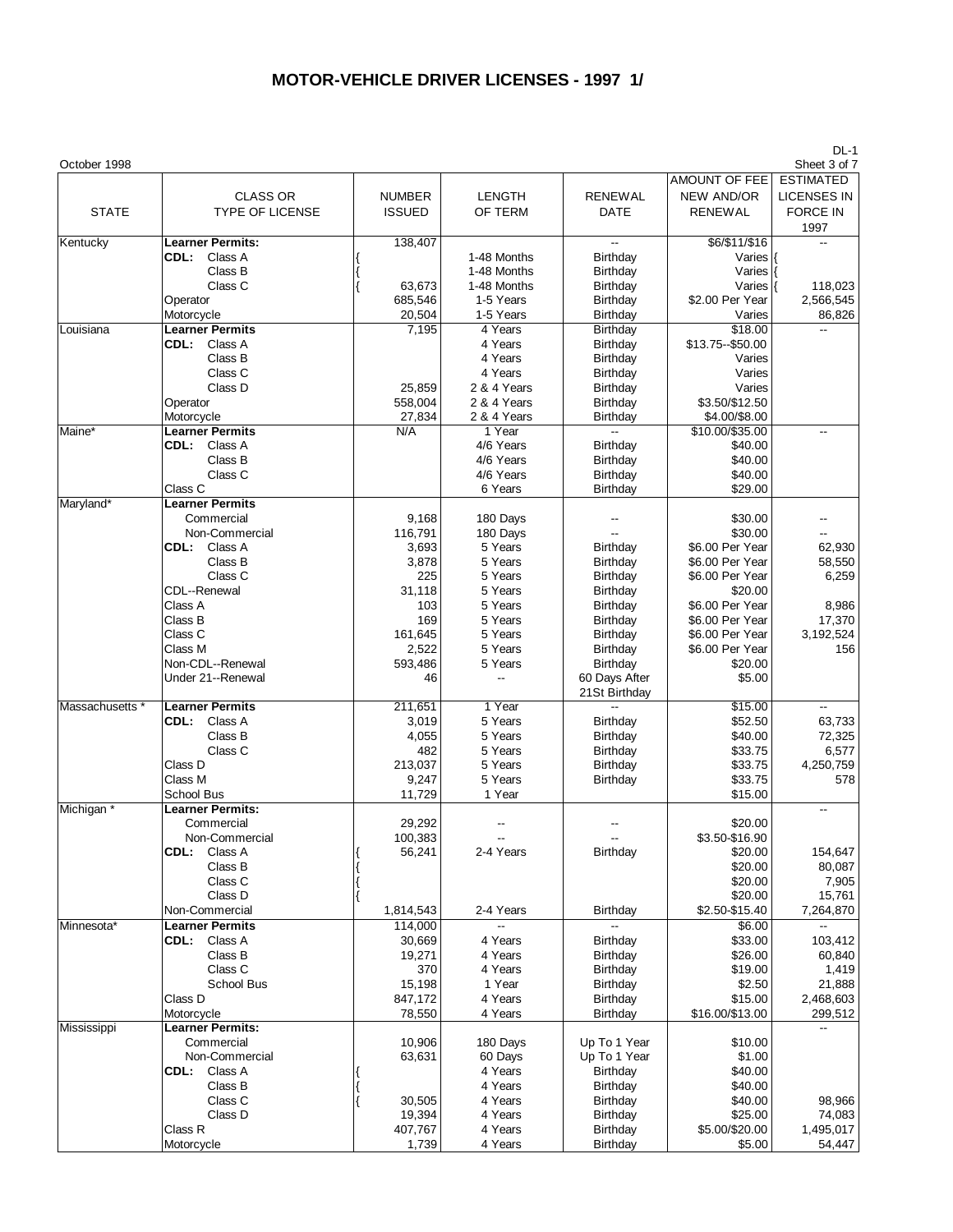| October 1998    |                                           |                   |                          |                                    |                               | Sheet 3 of 7         |
|-----------------|-------------------------------------------|-------------------|--------------------------|------------------------------------|-------------------------------|----------------------|
|                 |                                           |                   |                          |                                    | AMOUNT OF FEE                 | <b>ESTIMATED</b>     |
|                 | <b>CLASS OR</b>                           | <b>NUMBER</b>     | <b>LENGTH</b>            | <b>RENEWAL</b>                     | <b>NEW AND/OR</b>             | <b>LICENSES IN</b>   |
| <b>STATE</b>    | <b>TYPE OF LICENSE</b>                    | <b>ISSUED</b>     | OF TERM                  | DATE                               | <b>RENEWAL</b>                | <b>FORCE IN</b>      |
|                 |                                           |                   |                          |                                    |                               | 1997                 |
| Kentucky        | <b>Learner Permits:</b>                   | 138,407           |                          | $\overline{a}$                     | \$6/\$11/\$16                 |                      |
|                 | Class A<br>CDL:                           |                   | 1-48 Months              | <b>Birthday</b>                    | Varies                        |                      |
|                 | Class B                                   |                   | 1-48 Months              | Birthday                           | Varies                        |                      |
|                 | Class C                                   | 63,673<br>685,546 | 1-48 Months<br>1-5 Years | <b>Birthday</b>                    | Varies $ $<br>\$2.00 Per Year | 118,023<br>2,566,545 |
|                 | Operator<br>Motorcycle                    | 20,504            | 1-5 Years                | <b>Birthday</b><br><b>Birthday</b> | Varies                        | 86,826               |
| Louisiana       | <b>Learner Permits</b>                    | 7,195             | 4 Years                  | Birthday                           | \$18.00                       | Ξ.                   |
|                 | CDL: Class A                              |                   | 4 Years                  | Birthday                           | \$13.75 -- \$50.00            |                      |
|                 | Class B                                   |                   | 4 Years                  | Birthday                           | Varies                        |                      |
|                 | Class C                                   |                   | 4 Years                  | <b>Birthday</b>                    | Varies                        |                      |
|                 | Class D                                   | 25,859            | 2 & 4 Years              | <b>Birthday</b>                    | Varies                        |                      |
|                 | Operator                                  | 558,004           | 2 & 4 Years              | Birthday                           | \$3.50/\$12.50                |                      |
|                 | Motorcycle                                | 27,834            | 2 & 4 Years              | <b>Birthday</b>                    | \$4.00/\$8.00                 |                      |
| Maine*          | <b>Learner Permits</b>                    | N/A               | 1 Year                   |                                    | \$10.00/\$35.00               | $\overline{a}$       |
|                 | CDL: Class A                              |                   | 4/6 Years                | Birthday                           | \$40.00                       |                      |
|                 | Class B                                   |                   | 4/6 Years                | <b>Birthday</b>                    | \$40.00                       |                      |
|                 | Class C                                   |                   | 4/6 Years                | Birthday                           | \$40.00                       |                      |
|                 | Class C                                   |                   | 6 Years                  | Birthday                           | \$29.00                       |                      |
| Maryland*       | <b>Learner Permits</b>                    |                   |                          |                                    |                               |                      |
|                 | Commercial<br>Non-Commercial              | 9,168<br>116,791  | 180 Days<br>180 Days     |                                    | \$30.00<br>\$30.00            | --<br>--             |
|                 | CDL: Class A                              | 3,693             | 5 Years                  | Birthday                           | \$6.00 Per Year               | 62,930               |
|                 | Class B                                   | 3,878             | 5 Years                  | <b>Birthday</b>                    | \$6.00 Per Year               | 58,550               |
|                 | Class C                                   | 225               | 5 Years                  | Birthday                           | \$6.00 Per Year               | 6,259                |
|                 | CDL--Renewal                              | 31,118            | 5 Years                  | <b>Birthday</b>                    | \$20.00                       |                      |
|                 | Class A                                   | 103               | 5 Years                  | Birthday                           | \$6.00 Per Year               | 8,986                |
|                 | Class B                                   | 169               | 5 Years                  | Birthday                           | \$6.00 Per Year               | 17,370               |
|                 | Class C                                   | 161,645           | 5 Years                  | <b>Birthday</b>                    | \$6.00 Per Year               | 3,192,524            |
|                 | Class M                                   | 2,522             | 5 Years                  | <b>Birthday</b>                    | \$6.00 Per Year               | 156                  |
|                 | Non-CDL--Renewal                          | 593,486           | 5 Years                  | <b>Birthday</b>                    | \$20.00                       |                      |
|                 | Under 21--Renewal                         | 46                | Ξ.                       | 60 Days After                      | \$5.00                        |                      |
|                 |                                           |                   |                          | 21St Birthday                      |                               |                      |
| Massachusetts * | <b>Learner Permits</b><br>CDL:<br>Class A | 211,651<br>3,019  | 1 Year<br>5 Years        | Birthday                           | \$15.00<br>\$52.50            | 63,733               |
|                 | Class B                                   | 4,055             | 5 Years                  | Birthday                           | \$40.00                       | 72,325               |
|                 | Class C                                   | 482               | 5 Years                  | Birthday                           | \$33.75                       | 6,577                |
|                 | Class D                                   | 213,037           | 5 Years                  | <b>Birthday</b>                    | \$33.75                       | 4,250,759            |
|                 | Class M                                   | 9,247             | 5 Years                  | <b>Birthday</b>                    | \$33.75                       | 578                  |
|                 | School Bus                                | 11,729            | 1 Year                   |                                    | \$15.00                       |                      |
| Michigan *      | <b>Learner Permits:</b>                   |                   |                          |                                    |                               | --                   |
|                 | Commercial                                | 29,292            |                          |                                    | \$20.00                       |                      |
|                 | Non-Commercial                            | 100,383           |                          |                                    | \$3.50-\$16.90                |                      |
|                 | CDL: Class A                              | 56,241            | 2-4 Years                | Birthday                           | \$20.00                       | 154,647              |
|                 | Class B                                   |                   |                          |                                    | \$20.00                       | 80,087               |
|                 | Class C                                   |                   |                          |                                    | \$20.00                       | 7,905                |
|                 | Class D                                   |                   |                          |                                    | \$20.00                       | 15,761               |
|                 | Non-Commercial                            | 1,814,543         | 2-4 Years                | <b>Birthday</b>                    | \$2.50-\$15.40                | 7,264,870            |
| Minnesota*      | <b>Learner Permits</b><br>CDL: Class A    | 114,000<br>30,669 | 4 Years                  | Birthday                           | \$6.00<br>\$33.00             | 103,412              |
|                 | Class B                                   | 19,271            | 4 Years                  | <b>Birthday</b>                    | \$26.00                       | 60,840               |
|                 | Class C                                   | 370               | 4 Years                  | Birthday                           | \$19.00                       | 1,419                |
|                 | School Bus                                | 15,198            | 1 Year                   | Birthday                           | \$2.50                        | 21,888               |
|                 | Class D                                   | 847,172           | 4 Years                  | Birthday                           | \$15.00                       | 2,468,603            |
|                 | Motorcycle                                | 78,550            | 4 Years                  | <b>Birthday</b>                    | \$16.00/\$13.00               | 299,512              |
| Mississippi     | <b>Learner Permits:</b>                   |                   |                          |                                    |                               |                      |
|                 | Commercial                                | 10,906            | 180 Days                 | Up To 1 Year                       | \$10.00                       |                      |
|                 | Non-Commercial                            | 63,631            | 60 Days                  | Up To 1 Year                       | \$1.00                        |                      |
|                 | CDL: Class A                              |                   | 4 Years                  | Birthday                           | \$40.00                       |                      |
|                 | Class B                                   |                   | 4 Years                  | Birthday                           | \$40.00                       |                      |
|                 | Class C                                   | 30,505            | 4 Years                  | Birthday                           | \$40.00                       | 98,966               |
|                 | Class D                                   | 19,394            | 4 Years                  | Birthday                           | \$25.00                       | 74,083               |
|                 | Class R                                   | 407,767           | 4 Years                  | Birthday                           | \$5.00/\$20.00                | 1,495,017            |
|                 | Motorcycle                                | 1,739             | 4 Years                  | <b>Birthday</b>                    | \$5.00                        | 54,447               |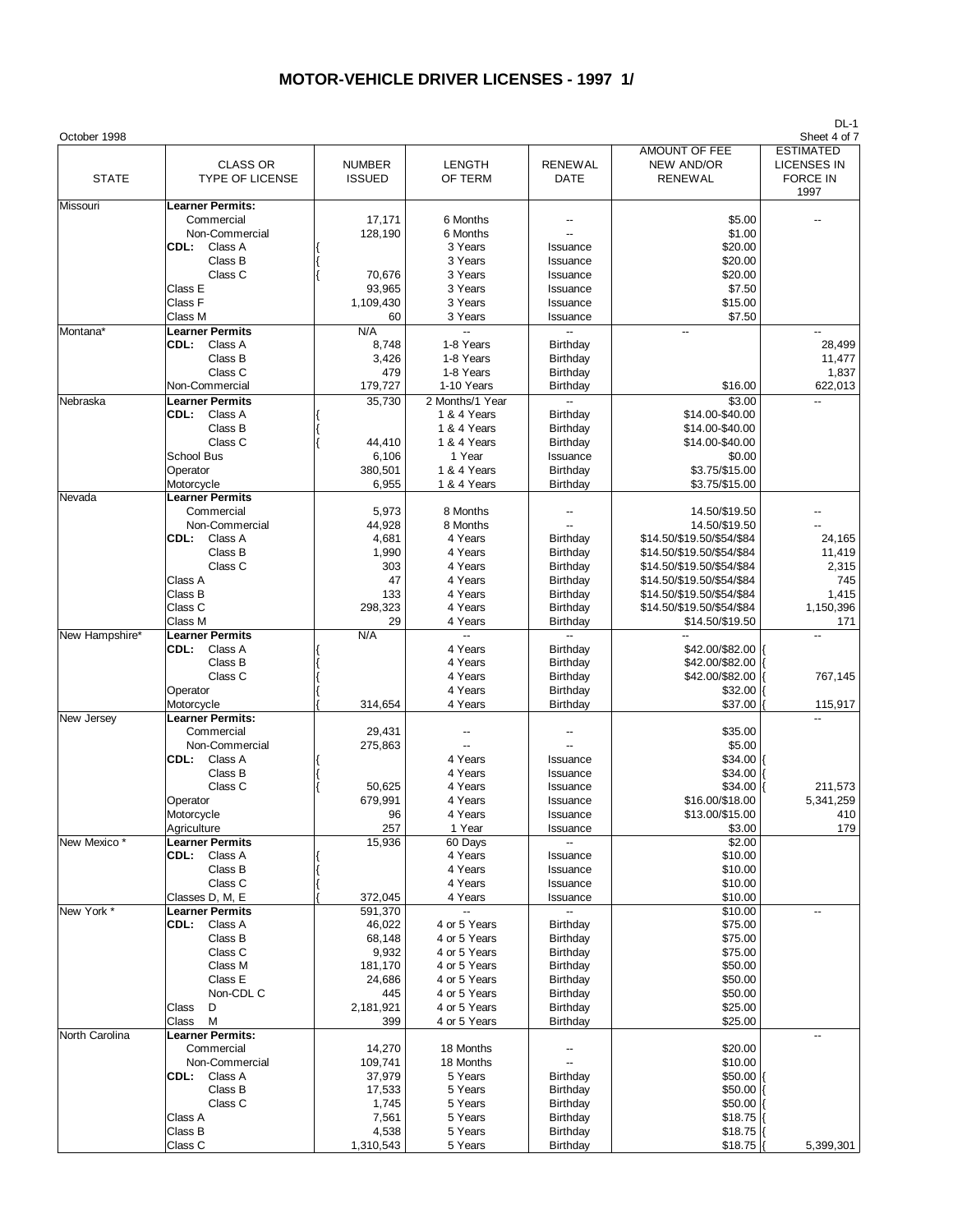| October 1998   |                                                                                                                                             |                                                                                      |                                                                                                                              |                                                                                                                |                                                                                                                                                                                                                                 | Sheet 4 of 7                                                  |
|----------------|---------------------------------------------------------------------------------------------------------------------------------------------|--------------------------------------------------------------------------------------|------------------------------------------------------------------------------------------------------------------------------|----------------------------------------------------------------------------------------------------------------|---------------------------------------------------------------------------------------------------------------------------------------------------------------------------------------------------------------------------------|---------------------------------------------------------------|
| <b>STATE</b>   | <b>CLASS OR</b><br><b>TYPE OF LICENSE</b>                                                                                                   | <b>NUMBER</b><br><b>ISSUED</b>                                                       | <b>LENGTH</b><br>OF TERM                                                                                                     | <b>RENEWAL</b><br>DATE                                                                                         | AMOUNT OF FEE<br>NEW AND/OR<br><b>RENEWAL</b>                                                                                                                                                                                   | <b>ESTIMATED</b><br>LICENSES IN<br><b>FORCE IN</b><br>1997    |
| Missouri       | <b>Learner Permits:</b><br>Commercial<br>Non-Commercial<br>CDL:<br>Class A<br>Class B<br>Class C<br>Class E<br>Class F<br>Class M           | 17,171<br>128,190<br>70,676<br>93,965<br>1,109,430<br>60                             | 6 Months<br>6 Months<br>3 Years<br>3 Years<br>3 Years<br>3 Years<br>3 Years<br>3 Years                                       | Issuance<br>Issuance<br>Issuance<br>Issuance<br>Issuance<br>Issuance                                           | \$5.00<br>\$1.00<br>\$20.00<br>\$20.00<br>\$20.00<br>\$7.50<br>\$15.00<br>\$7.50                                                                                                                                                |                                                               |
| Montana*       | <b>Learner Permits</b><br>CDL:<br>Class A<br>Class B<br>Class C<br>Non-Commercial                                                           | N/A<br>8,748<br>3,426<br>479<br>179,727                                              | $\overline{a}$<br>1-8 Years<br>1-8 Years<br>1-8 Years<br>1-10 Years                                                          | $\overline{a}$<br>Birthday<br>Birthday<br>Birthday<br>Birthday                                                 | $\overline{\phantom{a}}$<br>\$16.00                                                                                                                                                                                             | 28,499<br>11,477<br>1,837<br>622,013                          |
| Nebraska       | <b>Learner Permits</b><br>CDL: Class A<br>Class B<br>Class C<br>School Bus<br>Operator<br>Motorcycle                                        | 35,730<br>44,410<br>6,106<br>380,501<br>6,955                                        | 2 Months/1 Year<br>1 & 4 Years<br>1 & 4 Years<br>1 & 4 Years<br>1 Year<br>1 & 4 Years<br>1 & 4 Years                         | Birthday<br>Birthday<br>Birthday<br>Issuance<br>Birthday<br>Birthday                                           | \$3.00<br>\$14.00-\$40.00<br>\$14.00-\$40.00<br>\$14.00-\$40.00<br>\$0.00<br>\$3.75/\$15.00<br>\$3.75/\$15.00                                                                                                                   |                                                               |
| Nevada         | <b>Learner Permits</b><br>Commercial<br>Non-Commercial<br>CDL:<br>Class A<br>Class B<br>Class C<br>Class A<br>Class B<br>Class C<br>Class M | 5,973<br>44,928<br>4,681<br>1,990<br>303<br>47<br>133<br>298,323<br>29               | 8 Months<br>8 Months<br>4 Years<br>4 Years<br>4 Years<br>4 Years<br>4 Years<br>4 Years<br>4 Years                            | Birthday<br>Birthday<br>Birthday<br>Birthday<br>Birthday<br>Birthday<br>Birthday                               | 14.50/\$19.50<br>14.50/\$19.50<br>\$14.50/\$19.50/\$54/\$84<br>\$14.50/\$19.50/\$54/\$84<br>\$14.50/\$19.50/\$54/\$84<br>\$14.50/\$19.50/\$54/\$84<br>\$14.50/\$19.50/\$54/\$84<br>\$14.50/\$19.50/\$54/\$84<br>\$14.50/\$19.50 | 24,165<br>11,419<br>2,315<br>745<br>1,415<br>1,150,396<br>171 |
| New Hampshire* | <b>Learner Permits</b><br>Class A<br>CDL:<br>Class B<br>Class C<br>Operator<br>Motorcycle                                                   | N/A<br>314,654                                                                       | -−<br>4 Years<br>4 Years<br>4 Years<br>4 Years<br>4 Years                                                                    | $\overline{a}$<br>Birthday<br>Birthday<br>Birthday<br>Birthday<br>Birthday                                     | \$42.00/\$82.00<br>\$42.00/\$82.00<br>\$42.00/\$82.00<br>\$32.00<br>\$37.00                                                                                                                                                     | 767,145<br>115,917                                            |
| New Jersey     | <b>Learner Permits:</b><br>Commercial<br>Non-Commercial<br>CDL: Class A<br>Class B<br>Class C<br>Operator<br>Motorcycle<br>Agriculture      | 29,431<br>275,863<br>50,625<br>679,991<br>96<br>257                                  | 4 Years<br>4 Years<br>4 Years<br>4 Years<br>4 Years<br>1 Year                                                                | Issuance<br>Issuance<br>Issuance<br>Issuance<br>Issuance<br>Issuance                                           | \$35.00<br>\$5.00<br>\$34.00<br>\$34.00<br>\$34.00<br>\$16.00/\$18.00<br>\$13.00/\$15.00<br>\$3.00                                                                                                                              | 211,573<br>5,341,259<br>410<br>179                            |
| New Mexico*    | <b>Learner Permits</b><br>CDL:<br>Class A<br>Class B<br>Class C<br>Classes D, M, E                                                          | 15,936<br>372,045                                                                    | 60 Days<br>4 Years<br>4 Years<br>4 Years<br>4 Years                                                                          | $\overline{\phantom{a}}$<br>Issuance<br>Issuance<br>Issuance<br>Issuance                                       | \$2.00<br>\$10.00<br>\$10.00<br>\$10.00<br>\$10.00                                                                                                                                                                              |                                                               |
| New York *     | <b>Learner Permits</b><br>CDL:<br>Class A<br>Class B<br>Class C<br>Class M<br>Class E<br>Non-CDL C<br>Class<br>D<br>Class<br>M              | 591,370<br>46,022<br>68,148<br>9,932<br>181,170<br>24,686<br>445<br>2,181,921<br>399 | 4 or 5 Years<br>4 or 5 Years<br>4 or 5 Years<br>4 or 5 Years<br>4 or 5 Years<br>4 or 5 Years<br>4 or 5 Years<br>4 or 5 Years | $\overline{a}$<br>Birthday<br>Birthday<br>Birthday<br>Birthday<br>Birthday<br>Birthday<br>Birthday<br>Birthday | \$10.00<br>\$75.00<br>\$75.00<br>\$75.00<br>\$50.00<br>\$50.00<br>\$50.00<br>\$25.00<br>\$25.00                                                                                                                                 |                                                               |
| North Carolina | <b>Learner Permits:</b><br>Commercial<br>Non-Commercial<br>CDL:<br>Class A<br>Class B<br>Class C<br>Class A<br>Class B<br>Class C           | 14,270<br>109,741<br>37,979<br>17,533<br>1,745<br>7,561<br>4,538<br>1,310,543        | 18 Months<br>18 Months<br>5 Years<br>5 Years<br>5 Years<br>5 Years<br>5 Years<br>5 Years                                     | Birthday<br>Birthday<br>Birthday<br>Birthday<br>Birthday<br>Birthday                                           | \$20.00<br>\$10.00<br>\$50.00 <br>\$50.00<br>\$50.00<br>\$18.75<br>\$18.75<br>\$18.75                                                                                                                                           | 5,399,301                                                     |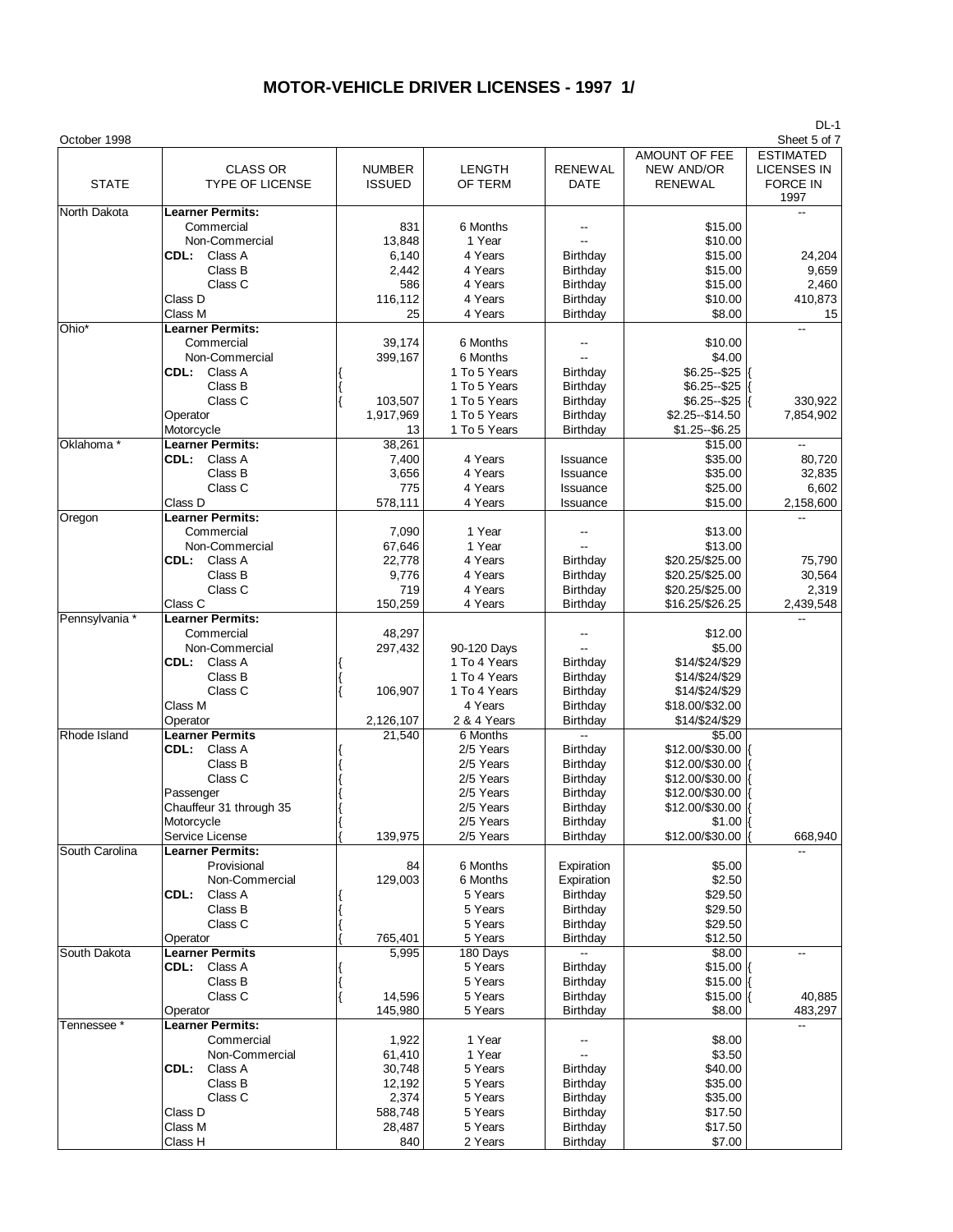| October 1998   |                                                                                                                                          |                                                                          |                                                                                                     |                                                                                  |                                                                                                                                               | ו - טע<br>Sheet 5 of 7                                            |
|----------------|------------------------------------------------------------------------------------------------------------------------------------------|--------------------------------------------------------------------------|-----------------------------------------------------------------------------------------------------|----------------------------------------------------------------------------------|-----------------------------------------------------------------------------------------------------------------------------------------------|-------------------------------------------------------------------|
| <b>STATE</b>   | <b>CLASS OR</b><br><b>TYPE OF LICENSE</b>                                                                                                | <b>NUMBER</b><br><b>ISSUED</b>                                           | <b>LENGTH</b><br>OF TERM                                                                            | <b>RENEWAL</b><br>DATE                                                           | AMOUNT OF FEE<br><b>NEW AND/OR</b><br>RENEWAL                                                                                                 | <b>ESTIMATED</b><br><b>LICENSES IN</b><br><b>FORCE IN</b><br>1997 |
| North Dakota   | <b>Learner Permits:</b><br>Commercial<br>Non-Commercial<br>CDL:<br>Class A<br>Class B                                                    | 831<br>13,848<br>6,140<br>2,442                                          | 6 Months<br>1 Year<br>4 Years<br>4 Years                                                            | Birthday<br>Birthday                                                             | \$15.00<br>\$10.00<br>\$15.00<br>\$15.00                                                                                                      | 24,204<br>9,659                                                   |
|                | Class C<br>Class D<br>Class M                                                                                                            | 586<br>116,112<br>25                                                     | 4 Years<br>4 Years<br>4 Years                                                                       | Birthday<br>Birthday<br>Birthday                                                 | \$15.00<br>\$10.00<br>\$8.00                                                                                                                  | 2,460<br>410,873<br>15                                            |
| Ohio*          | <b>Learner Permits:</b><br>Commercial<br>Non-Commercial<br>CDL:<br>Class A<br>Class B                                                    | 39,174<br>399,167                                                        | 6 Months<br>6 Months<br>1 To 5 Years<br>1 To 5 Years                                                | Birthday<br>Birthday                                                             | \$10.00<br>\$4.00<br>\$6.25 -- \$25<br>\$6.25 -- \$25                                                                                         |                                                                   |
|                | Class C<br>Operator<br>Motorcycle                                                                                                        | 103,507<br>1,917,969<br>13                                               | 1 To 5 Years<br>1 To 5 Years<br>1 To 5 Years                                                        | Birthday<br>Birthday<br>Birthday                                                 | $$6.25 - $25$<br>\$2.25 -- \$14.50<br>$$1.25 - $6.25$                                                                                         | 330,922<br>7,854,902                                              |
| Oklahoma *     | <b>Learner Permits:</b><br>Class A<br>CDL:<br>Class B<br>Class C<br>Class D                                                              | 38,261<br>7,400<br>3,656<br>775<br>578,111                               | 4 Years<br>4 Years<br>4 Years<br>4 Years                                                            | Issuance<br>Issuance<br>Issuance<br>Issuance                                     | \$15.00<br>\$35.00<br>\$35.00<br>\$25.00<br>\$15.00                                                                                           | --<br>80,720<br>32,835<br>6,602<br>2,158,600                      |
| Oregon         | <b>Learner Permits:</b><br>Commercial<br>Non-Commercial<br>CDL:<br>Class A<br>Class B<br>Class C                                         | 7,090<br>67,646<br>22,778<br>9,776<br>719                                | 1 Year<br>1 Year<br>4 Years<br>4 Years<br>4 Years                                                   | Birthday<br>Birthday<br>Birthday                                                 | \$13.00<br>\$13.00<br>\$20.25/\$25.00<br>\$20.25/\$25.00<br>\$20.25/\$25.00                                                                   | 75,790<br>30,564<br>2,319                                         |
| Pennsylvania * | Class C<br><b>Learner Permits:</b><br>Commercial<br>Non-Commercial<br>Class A<br>CDL:<br>Class B<br>Class C<br>Class M<br>Operator       | 150,259<br>48,297<br>297,432<br>106,907<br>2,126,107                     | 4 Years<br>90-120 Days<br>1 To 4 Years<br>1 To 4 Years<br>1 To 4 Years<br>4 Years<br>2 & 4 Years    | Birthday<br>Birthday<br>Birthday<br>Birthday<br>Birthday<br>Birthday             | \$16.25/\$26.25<br>\$12.00<br>\$5.00<br>\$14/\$24/\$29<br>\$14/\$24/\$29<br>\$14/\$24/\$29<br>\$18.00/\$32.00<br>\$14/\$24/\$29               | 2,439,548                                                         |
| Rhode Island   | <b>Learner Permits</b><br>CDL:<br>Class A<br>Class B<br>Class C<br>Passenger<br>Chauffeur 31 through 35<br>Motorcycle<br>Service License | 21,540<br>139,975                                                        | 6 Months<br>2/5 Years<br>2/5 Years<br>2/5 Years<br>2/5 Years<br>2/5 Years<br>2/5 Years<br>2/5 Years | Birthday<br>Birthday<br>Birthday<br>Birthday<br>Birthday<br>Birthday<br>Birthday | \$5.00<br>\$12.00/\$30.00  {<br>\$12.00/\$30.00<br>\$12.00/\$30.00<br>\$12.00/\$30.00<br>\$12.00/\$30.00  {<br>$$1.00$ K<br>\$12.00/\$30.00 { | 668,940                                                           |
| South Carolina | <b>Learner Permits:</b><br>Provisional<br>Non-Commercial<br>CDL:<br>Class A<br>Class B<br>Class C<br>Operator                            | 84<br>129,003<br>765,401                                                 | 6 Months<br>6 Months<br>5 Years<br>5 Years<br>5 Years<br>5 Years                                    | Expiration<br>Expiration<br>Birthday<br>Birthday<br>Birthday<br>Birthday         | \$5.00<br>\$2.50<br>\$29.50<br>\$29.50<br>\$29.50<br>\$12.50                                                                                  |                                                                   |
| South Dakota   | <b>Learner Permits</b><br>CDL: Class A<br>Class B<br>Class C<br>Operator                                                                 | 5,995<br>14,596<br>145,980                                               | 180 Days<br>5 Years<br>5 Years<br>5 Years<br>5 Years                                                | Birthday<br>Birthday<br>Birthday<br>Birthday                                     | \$8.00<br>$$15.00$ K<br>$$15.00$ K<br>$$15.00$ K<br>\$8.00                                                                                    | --<br>40,885<br>483,297                                           |
| Tennessee *    | <b>Learner Permits:</b><br>Commercial<br>Non-Commercial<br>CDL:<br>Class A<br>Class B<br>Class C<br>Class D<br>Class M<br>Class H        | 1,922<br>61,410<br>30,748<br>12,192<br>2,374<br>588,748<br>28,487<br>840 | 1 Year<br>1 Year<br>5 Years<br>5 Years<br>5 Years<br>5 Years<br>5 Years<br>2 Years                  | Birthday<br>Birthday<br>Birthday<br>Birthday<br>Birthday<br>Birthday             | \$8.00<br>\$3.50<br>\$40.00<br>\$35.00<br>\$35.00<br>\$17.50<br>\$17.50<br>\$7.00                                                             |                                                                   |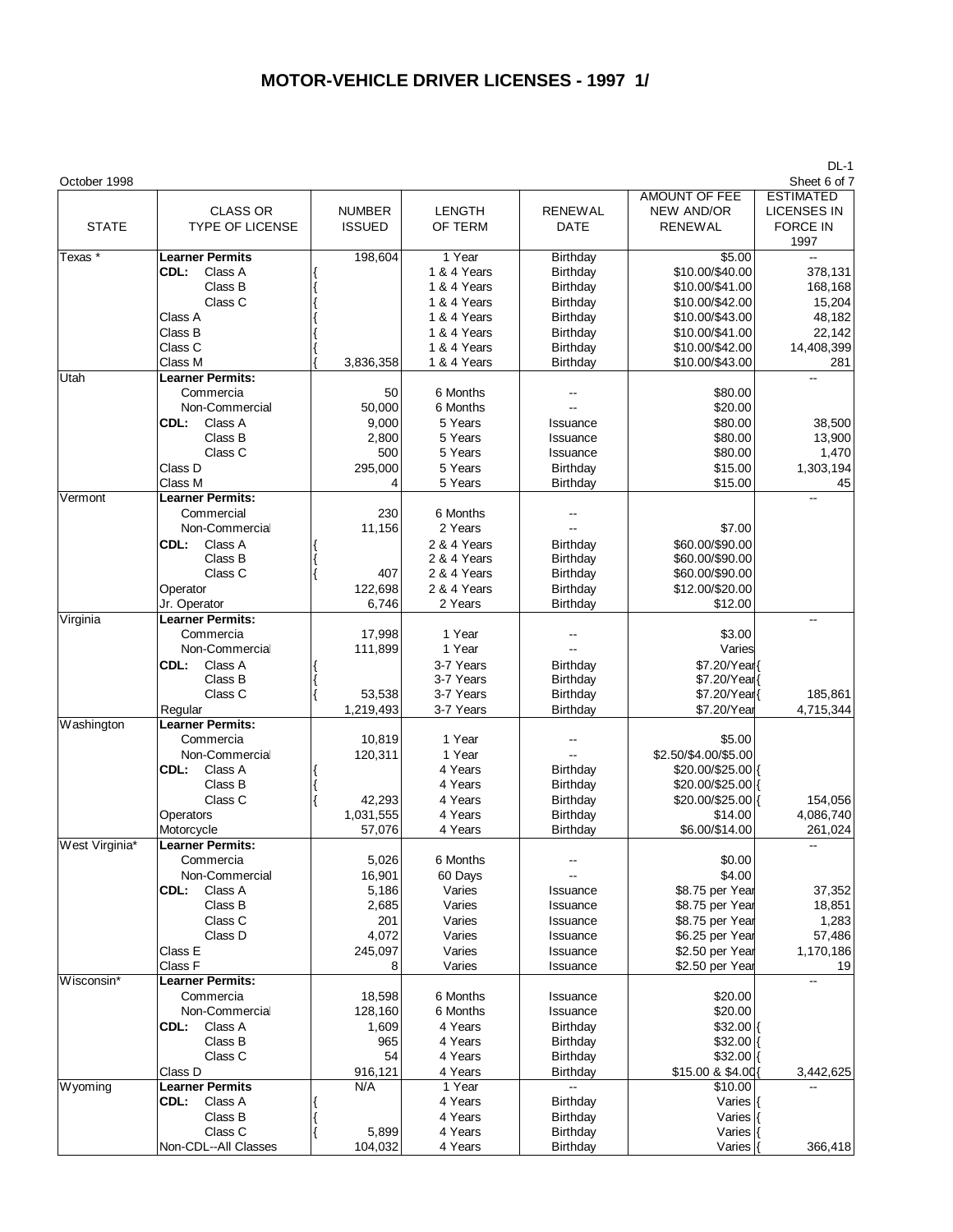| <b>AMOUNT OF FEE</b><br><b>ESTIMATED</b><br><b>CLASS OR</b><br><b>NUMBER</b><br>LENGTH<br><b>RENEWAL</b><br><b>LICENSES IN</b><br>NEW AND/OR<br><b>STATE</b><br><b>TYPE OF LICENSE</b><br><b>ISSUED</b><br>OF TERM<br>DATE<br><b>RENEWAL</b><br><b>FORCE IN</b><br>1997<br><b>Learner Permits</b><br>1 Year<br>\$5.00<br>Texas *<br>198,604<br>Birthday<br>\$10.00/\$40.00<br>378,131<br>CDL:<br>Class A<br>1 & 4 Years<br>Birthday<br>\$10.00/\$41.00<br>Class B<br>1 & 4 Years<br>Birthday<br>168,168<br>Class C<br>1 & 4 Years<br>Birthday<br>\$10.00/\$42.00<br>15,204<br>Class A<br>1 & 4 Years<br>Birthday<br>\$10.00/\$43.00<br>48,182<br>Class B<br>1 & 4 Years<br>Birthday<br>\$10.00/\$41.00<br>22,142<br>Class C<br>1 & 4 Years<br>Birthday<br>\$10.00/\$42.00<br>14,408,399<br>\$10.00/\$43.00<br>Class M<br>3,836,358<br>1 & 4 Years<br>Birthday<br>281<br>Utah<br><b>Learner Permits:</b><br>Commercia<br>6 Months<br>\$80.00<br>50<br>\$20.00<br>Non-Commercial<br>50,000<br>6 Months<br>$\overline{\phantom{a}}$<br>9,000<br>\$80.00<br>CDL:<br>Class A<br>5 Years<br>38,500<br>Issuance<br>Class B<br>\$80.00<br>2,800<br>5 Years<br>13,900<br>Issuance<br>500<br>\$80.00<br>Class C<br>5 Years<br>1,470<br>Issuance<br>Class D<br>295,000<br>5 Years<br>Birthday<br>\$15.00<br>1,303,194<br>\$15.00<br>45<br>Class M<br>4<br>5 Years<br>Birthday<br><b>Learner Permits:</b><br>Vermont<br>цü<br>Commercial<br>230<br>6 Months<br>Non-Commercial<br>11,156<br>2 Years<br>\$7.00<br>CDL:<br>Class A<br>2 & 4 Years<br>\$60.00/\$90.00<br>Birthday<br>\$60.00/\$90.00<br>Class B<br>2 & 4 Years<br>Birthday<br>Class C<br>\$60.00/\$90.00<br>407<br>2 & 4 Years<br>Birthday<br>122,698<br>2 & 4 Years<br>Birthday<br>\$12.00/\$20.00<br>Operator<br>Jr. Operator<br>6,746<br>2 Years<br>Birthday<br>\$12.00<br><b>Learner Permits:</b><br>Virginia<br>$\overline{a}$<br>1 Year<br>Commercia<br>17,998<br>\$3.00<br>1 Year<br>Non-Commercial<br>111,899<br>Varies<br>Class A<br>3-7 Years<br>CDL:<br>Birthday<br>\$7.20/Year<br>3-7 Years<br>Class B<br>Birthday<br>\$7.20/Year<br>\$7.20/Year{<br>Class C<br>53,538<br>3-7 Years<br>Birthday<br>185,861<br>3-7 Years<br>Birthday<br>\$7.20/Year<br>Regular<br>1,219,493<br>4,715,344<br><b>Learner Permits:</b><br>Washington<br>1 Year<br>Commercia<br>10,819<br>\$5.00<br>\$2.50/\$4.00/\$5.00<br>1 Year<br>Non-Commercial<br>120,311<br>Class A<br>4 Years<br>\$20.00/\$25.00 {<br>CDL:<br>Birthday<br>Class B<br>4 Years<br>\$20.00/\$25.00 {<br>Birthday<br>42,293<br>\$20.00/\$25.00 {<br>Class C<br>4 Years<br>Birthday<br>154,056<br>1,031,555<br>4 Years<br>Birthday<br>\$14.00<br>4,086,740<br>Operators<br>Motorcycle<br>57,076<br>4 Years<br>Birthday<br>\$6.00/\$14.00<br>261,024<br>West Virginia*<br><b>Learner Permits:</b><br>5,026<br>\$0.00<br>Commercia<br>6 Months<br>16,901<br>\$4.00<br>Non-Commercial<br>60 Days<br>Class A<br>5,186<br>\$8.75 per Year<br>CDL:<br>Varies<br>37,352<br>Issuance<br>Class B<br>2,685<br>Varies<br>\$8.75 per Year<br>18,851<br>Issuance<br>Class C<br>201<br>Varies<br>\$8.75 per Year<br>1,283<br>Issuance<br>Class D<br>4,072<br>Varies<br>\$6.25 per Year<br>57,486<br>Issuance<br>Varies<br>Class E<br>245,097<br>\$2.50 per Year<br>1,170,186<br>Issuance<br>Class F<br>Varies<br>\$2.50 per Year<br>8<br>19<br>Issuance<br>Wisconsin*<br><b>Learner Permits:</b><br>$-$<br>Commercia<br>18,598<br>6 Months<br>\$20.00<br>Issuance<br>\$20.00<br>Non-Commercial<br>6 Months<br>128,160<br>Issuance<br>CDL:<br>Class A<br>1,609<br>4 Years<br>\$32.00<br>Birthday<br>Class B<br>965<br>4 Years<br>\$32.00<br>Birthday<br>Class C<br>54<br>4 Years<br>\$32.00<br>Birthday<br>916,121<br>4 Years<br>\$15.00 & \$4.00{<br>Class D<br>Birthday<br>3,442,625<br><b>Learner Permits</b><br>N/A<br>1 Year<br>\$10.00<br>Wyoming<br>Class A<br>4 Years<br>Birthday<br>CDL:<br>Varies<br>Class B<br>4 Years<br>Varies<br>Birthday<br>Class C<br>5,899<br>4 Years<br>Birthday<br>Varies<br>Non-CDL--All Classes<br>104,032<br>4 Years<br>Birthday<br>Varies<br>366,418 | October 1998 |  |  | レヒート<br>Sheet 6 of 7 |
|----------------------------------------------------------------------------------------------------------------------------------------------------------------------------------------------------------------------------------------------------------------------------------------------------------------------------------------------------------------------------------------------------------------------------------------------------------------------------------------------------------------------------------------------------------------------------------------------------------------------------------------------------------------------------------------------------------------------------------------------------------------------------------------------------------------------------------------------------------------------------------------------------------------------------------------------------------------------------------------------------------------------------------------------------------------------------------------------------------------------------------------------------------------------------------------------------------------------------------------------------------------------------------------------------------------------------------------------------------------------------------------------------------------------------------------------------------------------------------------------------------------------------------------------------------------------------------------------------------------------------------------------------------------------------------------------------------------------------------------------------------------------------------------------------------------------------------------------------------------------------------------------------------------------------------------------------------------------------------------------------------------------------------------------------------------------------------------------------------------------------------------------------------------------------------------------------------------------------------------------------------------------------------------------------------------------------------------------------------------------------------------------------------------------------------------------------------------------------------------------------------------------------------------------------------------------------------------------------------------------------------------------------------------------------------------------------------------------------------------------------------------------------------------------------------------------------------------------------------------------------------------------------------------------------------------------------------------------------------------------------------------------------------------------------------------------------------------------------------------------------------------------------------------------------------------------------------------------------------------------------------------------------------------------------------------------------------------------------------------------------------------------------------------------------------------------------------------------------------------------------------------------------------------------------------------------------------------------------------------------------------------------------------------------------------------------------------------------------------------------------------------------------------------------------------------------------------------------------------------------------------------------------------------------------------------------------------------------------------------------------------------------------------------------------------------------------------------|--------------|--|--|----------------------|
|                                                                                                                                                                                                                                                                                                                                                                                                                                                                                                                                                                                                                                                                                                                                                                                                                                                                                                                                                                                                                                                                                                                                                                                                                                                                                                                                                                                                                                                                                                                                                                                                                                                                                                                                                                                                                                                                                                                                                                                                                                                                                                                                                                                                                                                                                                                                                                                                                                                                                                                                                                                                                                                                                                                                                                                                                                                                                                                                                                                                                                                                                                                                                                                                                                                                                                                                                                                                                                                                                                                                                                                                                                                                                                                                                                                                                                                                                                                                                                                                                                                                                        |              |  |  |                      |
|                                                                                                                                                                                                                                                                                                                                                                                                                                                                                                                                                                                                                                                                                                                                                                                                                                                                                                                                                                                                                                                                                                                                                                                                                                                                                                                                                                                                                                                                                                                                                                                                                                                                                                                                                                                                                                                                                                                                                                                                                                                                                                                                                                                                                                                                                                                                                                                                                                                                                                                                                                                                                                                                                                                                                                                                                                                                                                                                                                                                                                                                                                                                                                                                                                                                                                                                                                                                                                                                                                                                                                                                                                                                                                                                                                                                                                                                                                                                                                                                                                                                                        |              |  |  |                      |
|                                                                                                                                                                                                                                                                                                                                                                                                                                                                                                                                                                                                                                                                                                                                                                                                                                                                                                                                                                                                                                                                                                                                                                                                                                                                                                                                                                                                                                                                                                                                                                                                                                                                                                                                                                                                                                                                                                                                                                                                                                                                                                                                                                                                                                                                                                                                                                                                                                                                                                                                                                                                                                                                                                                                                                                                                                                                                                                                                                                                                                                                                                                                                                                                                                                                                                                                                                                                                                                                                                                                                                                                                                                                                                                                                                                                                                                                                                                                                                                                                                                                                        |              |  |  |                      |
|                                                                                                                                                                                                                                                                                                                                                                                                                                                                                                                                                                                                                                                                                                                                                                                                                                                                                                                                                                                                                                                                                                                                                                                                                                                                                                                                                                                                                                                                                                                                                                                                                                                                                                                                                                                                                                                                                                                                                                                                                                                                                                                                                                                                                                                                                                                                                                                                                                                                                                                                                                                                                                                                                                                                                                                                                                                                                                                                                                                                                                                                                                                                                                                                                                                                                                                                                                                                                                                                                                                                                                                                                                                                                                                                                                                                                                                                                                                                                                                                                                                                                        |              |  |  |                      |
|                                                                                                                                                                                                                                                                                                                                                                                                                                                                                                                                                                                                                                                                                                                                                                                                                                                                                                                                                                                                                                                                                                                                                                                                                                                                                                                                                                                                                                                                                                                                                                                                                                                                                                                                                                                                                                                                                                                                                                                                                                                                                                                                                                                                                                                                                                                                                                                                                                                                                                                                                                                                                                                                                                                                                                                                                                                                                                                                                                                                                                                                                                                                                                                                                                                                                                                                                                                                                                                                                                                                                                                                                                                                                                                                                                                                                                                                                                                                                                                                                                                                                        |              |  |  |                      |
|                                                                                                                                                                                                                                                                                                                                                                                                                                                                                                                                                                                                                                                                                                                                                                                                                                                                                                                                                                                                                                                                                                                                                                                                                                                                                                                                                                                                                                                                                                                                                                                                                                                                                                                                                                                                                                                                                                                                                                                                                                                                                                                                                                                                                                                                                                                                                                                                                                                                                                                                                                                                                                                                                                                                                                                                                                                                                                                                                                                                                                                                                                                                                                                                                                                                                                                                                                                                                                                                                                                                                                                                                                                                                                                                                                                                                                                                                                                                                                                                                                                                                        |              |  |  |                      |
|                                                                                                                                                                                                                                                                                                                                                                                                                                                                                                                                                                                                                                                                                                                                                                                                                                                                                                                                                                                                                                                                                                                                                                                                                                                                                                                                                                                                                                                                                                                                                                                                                                                                                                                                                                                                                                                                                                                                                                                                                                                                                                                                                                                                                                                                                                                                                                                                                                                                                                                                                                                                                                                                                                                                                                                                                                                                                                                                                                                                                                                                                                                                                                                                                                                                                                                                                                                                                                                                                                                                                                                                                                                                                                                                                                                                                                                                                                                                                                                                                                                                                        |              |  |  |                      |
|                                                                                                                                                                                                                                                                                                                                                                                                                                                                                                                                                                                                                                                                                                                                                                                                                                                                                                                                                                                                                                                                                                                                                                                                                                                                                                                                                                                                                                                                                                                                                                                                                                                                                                                                                                                                                                                                                                                                                                                                                                                                                                                                                                                                                                                                                                                                                                                                                                                                                                                                                                                                                                                                                                                                                                                                                                                                                                                                                                                                                                                                                                                                                                                                                                                                                                                                                                                                                                                                                                                                                                                                                                                                                                                                                                                                                                                                                                                                                                                                                                                                                        |              |  |  |                      |
|                                                                                                                                                                                                                                                                                                                                                                                                                                                                                                                                                                                                                                                                                                                                                                                                                                                                                                                                                                                                                                                                                                                                                                                                                                                                                                                                                                                                                                                                                                                                                                                                                                                                                                                                                                                                                                                                                                                                                                                                                                                                                                                                                                                                                                                                                                                                                                                                                                                                                                                                                                                                                                                                                                                                                                                                                                                                                                                                                                                                                                                                                                                                                                                                                                                                                                                                                                                                                                                                                                                                                                                                                                                                                                                                                                                                                                                                                                                                                                                                                                                                                        |              |  |  |                      |
|                                                                                                                                                                                                                                                                                                                                                                                                                                                                                                                                                                                                                                                                                                                                                                                                                                                                                                                                                                                                                                                                                                                                                                                                                                                                                                                                                                                                                                                                                                                                                                                                                                                                                                                                                                                                                                                                                                                                                                                                                                                                                                                                                                                                                                                                                                                                                                                                                                                                                                                                                                                                                                                                                                                                                                                                                                                                                                                                                                                                                                                                                                                                                                                                                                                                                                                                                                                                                                                                                                                                                                                                                                                                                                                                                                                                                                                                                                                                                                                                                                                                                        |              |  |  |                      |
|                                                                                                                                                                                                                                                                                                                                                                                                                                                                                                                                                                                                                                                                                                                                                                                                                                                                                                                                                                                                                                                                                                                                                                                                                                                                                                                                                                                                                                                                                                                                                                                                                                                                                                                                                                                                                                                                                                                                                                                                                                                                                                                                                                                                                                                                                                                                                                                                                                                                                                                                                                                                                                                                                                                                                                                                                                                                                                                                                                                                                                                                                                                                                                                                                                                                                                                                                                                                                                                                                                                                                                                                                                                                                                                                                                                                                                                                                                                                                                                                                                                                                        |              |  |  |                      |
|                                                                                                                                                                                                                                                                                                                                                                                                                                                                                                                                                                                                                                                                                                                                                                                                                                                                                                                                                                                                                                                                                                                                                                                                                                                                                                                                                                                                                                                                                                                                                                                                                                                                                                                                                                                                                                                                                                                                                                                                                                                                                                                                                                                                                                                                                                                                                                                                                                                                                                                                                                                                                                                                                                                                                                                                                                                                                                                                                                                                                                                                                                                                                                                                                                                                                                                                                                                                                                                                                                                                                                                                                                                                                                                                                                                                                                                                                                                                                                                                                                                                                        |              |  |  |                      |
|                                                                                                                                                                                                                                                                                                                                                                                                                                                                                                                                                                                                                                                                                                                                                                                                                                                                                                                                                                                                                                                                                                                                                                                                                                                                                                                                                                                                                                                                                                                                                                                                                                                                                                                                                                                                                                                                                                                                                                                                                                                                                                                                                                                                                                                                                                                                                                                                                                                                                                                                                                                                                                                                                                                                                                                                                                                                                                                                                                                                                                                                                                                                                                                                                                                                                                                                                                                                                                                                                                                                                                                                                                                                                                                                                                                                                                                                                                                                                                                                                                                                                        |              |  |  |                      |
|                                                                                                                                                                                                                                                                                                                                                                                                                                                                                                                                                                                                                                                                                                                                                                                                                                                                                                                                                                                                                                                                                                                                                                                                                                                                                                                                                                                                                                                                                                                                                                                                                                                                                                                                                                                                                                                                                                                                                                                                                                                                                                                                                                                                                                                                                                                                                                                                                                                                                                                                                                                                                                                                                                                                                                                                                                                                                                                                                                                                                                                                                                                                                                                                                                                                                                                                                                                                                                                                                                                                                                                                                                                                                                                                                                                                                                                                                                                                                                                                                                                                                        |              |  |  |                      |
|                                                                                                                                                                                                                                                                                                                                                                                                                                                                                                                                                                                                                                                                                                                                                                                                                                                                                                                                                                                                                                                                                                                                                                                                                                                                                                                                                                                                                                                                                                                                                                                                                                                                                                                                                                                                                                                                                                                                                                                                                                                                                                                                                                                                                                                                                                                                                                                                                                                                                                                                                                                                                                                                                                                                                                                                                                                                                                                                                                                                                                                                                                                                                                                                                                                                                                                                                                                                                                                                                                                                                                                                                                                                                                                                                                                                                                                                                                                                                                                                                                                                                        |              |  |  |                      |
|                                                                                                                                                                                                                                                                                                                                                                                                                                                                                                                                                                                                                                                                                                                                                                                                                                                                                                                                                                                                                                                                                                                                                                                                                                                                                                                                                                                                                                                                                                                                                                                                                                                                                                                                                                                                                                                                                                                                                                                                                                                                                                                                                                                                                                                                                                                                                                                                                                                                                                                                                                                                                                                                                                                                                                                                                                                                                                                                                                                                                                                                                                                                                                                                                                                                                                                                                                                                                                                                                                                                                                                                                                                                                                                                                                                                                                                                                                                                                                                                                                                                                        |              |  |  |                      |
|                                                                                                                                                                                                                                                                                                                                                                                                                                                                                                                                                                                                                                                                                                                                                                                                                                                                                                                                                                                                                                                                                                                                                                                                                                                                                                                                                                                                                                                                                                                                                                                                                                                                                                                                                                                                                                                                                                                                                                                                                                                                                                                                                                                                                                                                                                                                                                                                                                                                                                                                                                                                                                                                                                                                                                                                                                                                                                                                                                                                                                                                                                                                                                                                                                                                                                                                                                                                                                                                                                                                                                                                                                                                                                                                                                                                                                                                                                                                                                                                                                                                                        |              |  |  |                      |
|                                                                                                                                                                                                                                                                                                                                                                                                                                                                                                                                                                                                                                                                                                                                                                                                                                                                                                                                                                                                                                                                                                                                                                                                                                                                                                                                                                                                                                                                                                                                                                                                                                                                                                                                                                                                                                                                                                                                                                                                                                                                                                                                                                                                                                                                                                                                                                                                                                                                                                                                                                                                                                                                                                                                                                                                                                                                                                                                                                                                                                                                                                                                                                                                                                                                                                                                                                                                                                                                                                                                                                                                                                                                                                                                                                                                                                                                                                                                                                                                                                                                                        |              |  |  |                      |
|                                                                                                                                                                                                                                                                                                                                                                                                                                                                                                                                                                                                                                                                                                                                                                                                                                                                                                                                                                                                                                                                                                                                                                                                                                                                                                                                                                                                                                                                                                                                                                                                                                                                                                                                                                                                                                                                                                                                                                                                                                                                                                                                                                                                                                                                                                                                                                                                                                                                                                                                                                                                                                                                                                                                                                                                                                                                                                                                                                                                                                                                                                                                                                                                                                                                                                                                                                                                                                                                                                                                                                                                                                                                                                                                                                                                                                                                                                                                                                                                                                                                                        |              |  |  |                      |
|                                                                                                                                                                                                                                                                                                                                                                                                                                                                                                                                                                                                                                                                                                                                                                                                                                                                                                                                                                                                                                                                                                                                                                                                                                                                                                                                                                                                                                                                                                                                                                                                                                                                                                                                                                                                                                                                                                                                                                                                                                                                                                                                                                                                                                                                                                                                                                                                                                                                                                                                                                                                                                                                                                                                                                                                                                                                                                                                                                                                                                                                                                                                                                                                                                                                                                                                                                                                                                                                                                                                                                                                                                                                                                                                                                                                                                                                                                                                                                                                                                                                                        |              |  |  |                      |
|                                                                                                                                                                                                                                                                                                                                                                                                                                                                                                                                                                                                                                                                                                                                                                                                                                                                                                                                                                                                                                                                                                                                                                                                                                                                                                                                                                                                                                                                                                                                                                                                                                                                                                                                                                                                                                                                                                                                                                                                                                                                                                                                                                                                                                                                                                                                                                                                                                                                                                                                                                                                                                                                                                                                                                                                                                                                                                                                                                                                                                                                                                                                                                                                                                                                                                                                                                                                                                                                                                                                                                                                                                                                                                                                                                                                                                                                                                                                                                                                                                                                                        |              |  |  |                      |
|                                                                                                                                                                                                                                                                                                                                                                                                                                                                                                                                                                                                                                                                                                                                                                                                                                                                                                                                                                                                                                                                                                                                                                                                                                                                                                                                                                                                                                                                                                                                                                                                                                                                                                                                                                                                                                                                                                                                                                                                                                                                                                                                                                                                                                                                                                                                                                                                                                                                                                                                                                                                                                                                                                                                                                                                                                                                                                                                                                                                                                                                                                                                                                                                                                                                                                                                                                                                                                                                                                                                                                                                                                                                                                                                                                                                                                                                                                                                                                                                                                                                                        |              |  |  |                      |
|                                                                                                                                                                                                                                                                                                                                                                                                                                                                                                                                                                                                                                                                                                                                                                                                                                                                                                                                                                                                                                                                                                                                                                                                                                                                                                                                                                                                                                                                                                                                                                                                                                                                                                                                                                                                                                                                                                                                                                                                                                                                                                                                                                                                                                                                                                                                                                                                                                                                                                                                                                                                                                                                                                                                                                                                                                                                                                                                                                                                                                                                                                                                                                                                                                                                                                                                                                                                                                                                                                                                                                                                                                                                                                                                                                                                                                                                                                                                                                                                                                                                                        |              |  |  |                      |
|                                                                                                                                                                                                                                                                                                                                                                                                                                                                                                                                                                                                                                                                                                                                                                                                                                                                                                                                                                                                                                                                                                                                                                                                                                                                                                                                                                                                                                                                                                                                                                                                                                                                                                                                                                                                                                                                                                                                                                                                                                                                                                                                                                                                                                                                                                                                                                                                                                                                                                                                                                                                                                                                                                                                                                                                                                                                                                                                                                                                                                                                                                                                                                                                                                                                                                                                                                                                                                                                                                                                                                                                                                                                                                                                                                                                                                                                                                                                                                                                                                                                                        |              |  |  |                      |
|                                                                                                                                                                                                                                                                                                                                                                                                                                                                                                                                                                                                                                                                                                                                                                                                                                                                                                                                                                                                                                                                                                                                                                                                                                                                                                                                                                                                                                                                                                                                                                                                                                                                                                                                                                                                                                                                                                                                                                                                                                                                                                                                                                                                                                                                                                                                                                                                                                                                                                                                                                                                                                                                                                                                                                                                                                                                                                                                                                                                                                                                                                                                                                                                                                                                                                                                                                                                                                                                                                                                                                                                                                                                                                                                                                                                                                                                                                                                                                                                                                                                                        |              |  |  |                      |
|                                                                                                                                                                                                                                                                                                                                                                                                                                                                                                                                                                                                                                                                                                                                                                                                                                                                                                                                                                                                                                                                                                                                                                                                                                                                                                                                                                                                                                                                                                                                                                                                                                                                                                                                                                                                                                                                                                                                                                                                                                                                                                                                                                                                                                                                                                                                                                                                                                                                                                                                                                                                                                                                                                                                                                                                                                                                                                                                                                                                                                                                                                                                                                                                                                                                                                                                                                                                                                                                                                                                                                                                                                                                                                                                                                                                                                                                                                                                                                                                                                                                                        |              |  |  |                      |
|                                                                                                                                                                                                                                                                                                                                                                                                                                                                                                                                                                                                                                                                                                                                                                                                                                                                                                                                                                                                                                                                                                                                                                                                                                                                                                                                                                                                                                                                                                                                                                                                                                                                                                                                                                                                                                                                                                                                                                                                                                                                                                                                                                                                                                                                                                                                                                                                                                                                                                                                                                                                                                                                                                                                                                                                                                                                                                                                                                                                                                                                                                                                                                                                                                                                                                                                                                                                                                                                                                                                                                                                                                                                                                                                                                                                                                                                                                                                                                                                                                                                                        |              |  |  |                      |
|                                                                                                                                                                                                                                                                                                                                                                                                                                                                                                                                                                                                                                                                                                                                                                                                                                                                                                                                                                                                                                                                                                                                                                                                                                                                                                                                                                                                                                                                                                                                                                                                                                                                                                                                                                                                                                                                                                                                                                                                                                                                                                                                                                                                                                                                                                                                                                                                                                                                                                                                                                                                                                                                                                                                                                                                                                                                                                                                                                                                                                                                                                                                                                                                                                                                                                                                                                                                                                                                                                                                                                                                                                                                                                                                                                                                                                                                                                                                                                                                                                                                                        |              |  |  |                      |
|                                                                                                                                                                                                                                                                                                                                                                                                                                                                                                                                                                                                                                                                                                                                                                                                                                                                                                                                                                                                                                                                                                                                                                                                                                                                                                                                                                                                                                                                                                                                                                                                                                                                                                                                                                                                                                                                                                                                                                                                                                                                                                                                                                                                                                                                                                                                                                                                                                                                                                                                                                                                                                                                                                                                                                                                                                                                                                                                                                                                                                                                                                                                                                                                                                                                                                                                                                                                                                                                                                                                                                                                                                                                                                                                                                                                                                                                                                                                                                                                                                                                                        |              |  |  |                      |
|                                                                                                                                                                                                                                                                                                                                                                                                                                                                                                                                                                                                                                                                                                                                                                                                                                                                                                                                                                                                                                                                                                                                                                                                                                                                                                                                                                                                                                                                                                                                                                                                                                                                                                                                                                                                                                                                                                                                                                                                                                                                                                                                                                                                                                                                                                                                                                                                                                                                                                                                                                                                                                                                                                                                                                                                                                                                                                                                                                                                                                                                                                                                                                                                                                                                                                                                                                                                                                                                                                                                                                                                                                                                                                                                                                                                                                                                                                                                                                                                                                                                                        |              |  |  |                      |
|                                                                                                                                                                                                                                                                                                                                                                                                                                                                                                                                                                                                                                                                                                                                                                                                                                                                                                                                                                                                                                                                                                                                                                                                                                                                                                                                                                                                                                                                                                                                                                                                                                                                                                                                                                                                                                                                                                                                                                                                                                                                                                                                                                                                                                                                                                                                                                                                                                                                                                                                                                                                                                                                                                                                                                                                                                                                                                                                                                                                                                                                                                                                                                                                                                                                                                                                                                                                                                                                                                                                                                                                                                                                                                                                                                                                                                                                                                                                                                                                                                                                                        |              |  |  |                      |
|                                                                                                                                                                                                                                                                                                                                                                                                                                                                                                                                                                                                                                                                                                                                                                                                                                                                                                                                                                                                                                                                                                                                                                                                                                                                                                                                                                                                                                                                                                                                                                                                                                                                                                                                                                                                                                                                                                                                                                                                                                                                                                                                                                                                                                                                                                                                                                                                                                                                                                                                                                                                                                                                                                                                                                                                                                                                                                                                                                                                                                                                                                                                                                                                                                                                                                                                                                                                                                                                                                                                                                                                                                                                                                                                                                                                                                                                                                                                                                                                                                                                                        |              |  |  |                      |
|                                                                                                                                                                                                                                                                                                                                                                                                                                                                                                                                                                                                                                                                                                                                                                                                                                                                                                                                                                                                                                                                                                                                                                                                                                                                                                                                                                                                                                                                                                                                                                                                                                                                                                                                                                                                                                                                                                                                                                                                                                                                                                                                                                                                                                                                                                                                                                                                                                                                                                                                                                                                                                                                                                                                                                                                                                                                                                                                                                                                                                                                                                                                                                                                                                                                                                                                                                                                                                                                                                                                                                                                                                                                                                                                                                                                                                                                                                                                                                                                                                                                                        |              |  |  |                      |
|                                                                                                                                                                                                                                                                                                                                                                                                                                                                                                                                                                                                                                                                                                                                                                                                                                                                                                                                                                                                                                                                                                                                                                                                                                                                                                                                                                                                                                                                                                                                                                                                                                                                                                                                                                                                                                                                                                                                                                                                                                                                                                                                                                                                                                                                                                                                                                                                                                                                                                                                                                                                                                                                                                                                                                                                                                                                                                                                                                                                                                                                                                                                                                                                                                                                                                                                                                                                                                                                                                                                                                                                                                                                                                                                                                                                                                                                                                                                                                                                                                                                                        |              |  |  |                      |
|                                                                                                                                                                                                                                                                                                                                                                                                                                                                                                                                                                                                                                                                                                                                                                                                                                                                                                                                                                                                                                                                                                                                                                                                                                                                                                                                                                                                                                                                                                                                                                                                                                                                                                                                                                                                                                                                                                                                                                                                                                                                                                                                                                                                                                                                                                                                                                                                                                                                                                                                                                                                                                                                                                                                                                                                                                                                                                                                                                                                                                                                                                                                                                                                                                                                                                                                                                                                                                                                                                                                                                                                                                                                                                                                                                                                                                                                                                                                                                                                                                                                                        |              |  |  |                      |
|                                                                                                                                                                                                                                                                                                                                                                                                                                                                                                                                                                                                                                                                                                                                                                                                                                                                                                                                                                                                                                                                                                                                                                                                                                                                                                                                                                                                                                                                                                                                                                                                                                                                                                                                                                                                                                                                                                                                                                                                                                                                                                                                                                                                                                                                                                                                                                                                                                                                                                                                                                                                                                                                                                                                                                                                                                                                                                                                                                                                                                                                                                                                                                                                                                                                                                                                                                                                                                                                                                                                                                                                                                                                                                                                                                                                                                                                                                                                                                                                                                                                                        |              |  |  |                      |
|                                                                                                                                                                                                                                                                                                                                                                                                                                                                                                                                                                                                                                                                                                                                                                                                                                                                                                                                                                                                                                                                                                                                                                                                                                                                                                                                                                                                                                                                                                                                                                                                                                                                                                                                                                                                                                                                                                                                                                                                                                                                                                                                                                                                                                                                                                                                                                                                                                                                                                                                                                                                                                                                                                                                                                                                                                                                                                                                                                                                                                                                                                                                                                                                                                                                                                                                                                                                                                                                                                                                                                                                                                                                                                                                                                                                                                                                                                                                                                                                                                                                                        |              |  |  |                      |
|                                                                                                                                                                                                                                                                                                                                                                                                                                                                                                                                                                                                                                                                                                                                                                                                                                                                                                                                                                                                                                                                                                                                                                                                                                                                                                                                                                                                                                                                                                                                                                                                                                                                                                                                                                                                                                                                                                                                                                                                                                                                                                                                                                                                                                                                                                                                                                                                                                                                                                                                                                                                                                                                                                                                                                                                                                                                                                                                                                                                                                                                                                                                                                                                                                                                                                                                                                                                                                                                                                                                                                                                                                                                                                                                                                                                                                                                                                                                                                                                                                                                                        |              |  |  |                      |
|                                                                                                                                                                                                                                                                                                                                                                                                                                                                                                                                                                                                                                                                                                                                                                                                                                                                                                                                                                                                                                                                                                                                                                                                                                                                                                                                                                                                                                                                                                                                                                                                                                                                                                                                                                                                                                                                                                                                                                                                                                                                                                                                                                                                                                                                                                                                                                                                                                                                                                                                                                                                                                                                                                                                                                                                                                                                                                                                                                                                                                                                                                                                                                                                                                                                                                                                                                                                                                                                                                                                                                                                                                                                                                                                                                                                                                                                                                                                                                                                                                                                                        |              |  |  |                      |
|                                                                                                                                                                                                                                                                                                                                                                                                                                                                                                                                                                                                                                                                                                                                                                                                                                                                                                                                                                                                                                                                                                                                                                                                                                                                                                                                                                                                                                                                                                                                                                                                                                                                                                                                                                                                                                                                                                                                                                                                                                                                                                                                                                                                                                                                                                                                                                                                                                                                                                                                                                                                                                                                                                                                                                                                                                                                                                                                                                                                                                                                                                                                                                                                                                                                                                                                                                                                                                                                                                                                                                                                                                                                                                                                                                                                                                                                                                                                                                                                                                                                                        |              |  |  |                      |
|                                                                                                                                                                                                                                                                                                                                                                                                                                                                                                                                                                                                                                                                                                                                                                                                                                                                                                                                                                                                                                                                                                                                                                                                                                                                                                                                                                                                                                                                                                                                                                                                                                                                                                                                                                                                                                                                                                                                                                                                                                                                                                                                                                                                                                                                                                                                                                                                                                                                                                                                                                                                                                                                                                                                                                                                                                                                                                                                                                                                                                                                                                                                                                                                                                                                                                                                                                                                                                                                                                                                                                                                                                                                                                                                                                                                                                                                                                                                                                                                                                                                                        |              |  |  |                      |
|                                                                                                                                                                                                                                                                                                                                                                                                                                                                                                                                                                                                                                                                                                                                                                                                                                                                                                                                                                                                                                                                                                                                                                                                                                                                                                                                                                                                                                                                                                                                                                                                                                                                                                                                                                                                                                                                                                                                                                                                                                                                                                                                                                                                                                                                                                                                                                                                                                                                                                                                                                                                                                                                                                                                                                                                                                                                                                                                                                                                                                                                                                                                                                                                                                                                                                                                                                                                                                                                                                                                                                                                                                                                                                                                                                                                                                                                                                                                                                                                                                                                                        |              |  |  |                      |
|                                                                                                                                                                                                                                                                                                                                                                                                                                                                                                                                                                                                                                                                                                                                                                                                                                                                                                                                                                                                                                                                                                                                                                                                                                                                                                                                                                                                                                                                                                                                                                                                                                                                                                                                                                                                                                                                                                                                                                                                                                                                                                                                                                                                                                                                                                                                                                                                                                                                                                                                                                                                                                                                                                                                                                                                                                                                                                                                                                                                                                                                                                                                                                                                                                                                                                                                                                                                                                                                                                                                                                                                                                                                                                                                                                                                                                                                                                                                                                                                                                                                                        |              |  |  |                      |
|                                                                                                                                                                                                                                                                                                                                                                                                                                                                                                                                                                                                                                                                                                                                                                                                                                                                                                                                                                                                                                                                                                                                                                                                                                                                                                                                                                                                                                                                                                                                                                                                                                                                                                                                                                                                                                                                                                                                                                                                                                                                                                                                                                                                                                                                                                                                                                                                                                                                                                                                                                                                                                                                                                                                                                                                                                                                                                                                                                                                                                                                                                                                                                                                                                                                                                                                                                                                                                                                                                                                                                                                                                                                                                                                                                                                                                                                                                                                                                                                                                                                                        |              |  |  |                      |
|                                                                                                                                                                                                                                                                                                                                                                                                                                                                                                                                                                                                                                                                                                                                                                                                                                                                                                                                                                                                                                                                                                                                                                                                                                                                                                                                                                                                                                                                                                                                                                                                                                                                                                                                                                                                                                                                                                                                                                                                                                                                                                                                                                                                                                                                                                                                                                                                                                                                                                                                                                                                                                                                                                                                                                                                                                                                                                                                                                                                                                                                                                                                                                                                                                                                                                                                                                                                                                                                                                                                                                                                                                                                                                                                                                                                                                                                                                                                                                                                                                                                                        |              |  |  |                      |
|                                                                                                                                                                                                                                                                                                                                                                                                                                                                                                                                                                                                                                                                                                                                                                                                                                                                                                                                                                                                                                                                                                                                                                                                                                                                                                                                                                                                                                                                                                                                                                                                                                                                                                                                                                                                                                                                                                                                                                                                                                                                                                                                                                                                                                                                                                                                                                                                                                                                                                                                                                                                                                                                                                                                                                                                                                                                                                                                                                                                                                                                                                                                                                                                                                                                                                                                                                                                                                                                                                                                                                                                                                                                                                                                                                                                                                                                                                                                                                                                                                                                                        |              |  |  |                      |
|                                                                                                                                                                                                                                                                                                                                                                                                                                                                                                                                                                                                                                                                                                                                                                                                                                                                                                                                                                                                                                                                                                                                                                                                                                                                                                                                                                                                                                                                                                                                                                                                                                                                                                                                                                                                                                                                                                                                                                                                                                                                                                                                                                                                                                                                                                                                                                                                                                                                                                                                                                                                                                                                                                                                                                                                                                                                                                                                                                                                                                                                                                                                                                                                                                                                                                                                                                                                                                                                                                                                                                                                                                                                                                                                                                                                                                                                                                                                                                                                                                                                                        |              |  |  |                      |
|                                                                                                                                                                                                                                                                                                                                                                                                                                                                                                                                                                                                                                                                                                                                                                                                                                                                                                                                                                                                                                                                                                                                                                                                                                                                                                                                                                                                                                                                                                                                                                                                                                                                                                                                                                                                                                                                                                                                                                                                                                                                                                                                                                                                                                                                                                                                                                                                                                                                                                                                                                                                                                                                                                                                                                                                                                                                                                                                                                                                                                                                                                                                                                                                                                                                                                                                                                                                                                                                                                                                                                                                                                                                                                                                                                                                                                                                                                                                                                                                                                                                                        |              |  |  |                      |
|                                                                                                                                                                                                                                                                                                                                                                                                                                                                                                                                                                                                                                                                                                                                                                                                                                                                                                                                                                                                                                                                                                                                                                                                                                                                                                                                                                                                                                                                                                                                                                                                                                                                                                                                                                                                                                                                                                                                                                                                                                                                                                                                                                                                                                                                                                                                                                                                                                                                                                                                                                                                                                                                                                                                                                                                                                                                                                                                                                                                                                                                                                                                                                                                                                                                                                                                                                                                                                                                                                                                                                                                                                                                                                                                                                                                                                                                                                                                                                                                                                                                                        |              |  |  |                      |
|                                                                                                                                                                                                                                                                                                                                                                                                                                                                                                                                                                                                                                                                                                                                                                                                                                                                                                                                                                                                                                                                                                                                                                                                                                                                                                                                                                                                                                                                                                                                                                                                                                                                                                                                                                                                                                                                                                                                                                                                                                                                                                                                                                                                                                                                                                                                                                                                                                                                                                                                                                                                                                                                                                                                                                                                                                                                                                                                                                                                                                                                                                                                                                                                                                                                                                                                                                                                                                                                                                                                                                                                                                                                                                                                                                                                                                                                                                                                                                                                                                                                                        |              |  |  |                      |
|                                                                                                                                                                                                                                                                                                                                                                                                                                                                                                                                                                                                                                                                                                                                                                                                                                                                                                                                                                                                                                                                                                                                                                                                                                                                                                                                                                                                                                                                                                                                                                                                                                                                                                                                                                                                                                                                                                                                                                                                                                                                                                                                                                                                                                                                                                                                                                                                                                                                                                                                                                                                                                                                                                                                                                                                                                                                                                                                                                                                                                                                                                                                                                                                                                                                                                                                                                                                                                                                                                                                                                                                                                                                                                                                                                                                                                                                                                                                                                                                                                                                                        |              |  |  |                      |
|                                                                                                                                                                                                                                                                                                                                                                                                                                                                                                                                                                                                                                                                                                                                                                                                                                                                                                                                                                                                                                                                                                                                                                                                                                                                                                                                                                                                                                                                                                                                                                                                                                                                                                                                                                                                                                                                                                                                                                                                                                                                                                                                                                                                                                                                                                                                                                                                                                                                                                                                                                                                                                                                                                                                                                                                                                                                                                                                                                                                                                                                                                                                                                                                                                                                                                                                                                                                                                                                                                                                                                                                                                                                                                                                                                                                                                                                                                                                                                                                                                                                                        |              |  |  |                      |
|                                                                                                                                                                                                                                                                                                                                                                                                                                                                                                                                                                                                                                                                                                                                                                                                                                                                                                                                                                                                                                                                                                                                                                                                                                                                                                                                                                                                                                                                                                                                                                                                                                                                                                                                                                                                                                                                                                                                                                                                                                                                                                                                                                                                                                                                                                                                                                                                                                                                                                                                                                                                                                                                                                                                                                                                                                                                                                                                                                                                                                                                                                                                                                                                                                                                                                                                                                                                                                                                                                                                                                                                                                                                                                                                                                                                                                                                                                                                                                                                                                                                                        |              |  |  |                      |
|                                                                                                                                                                                                                                                                                                                                                                                                                                                                                                                                                                                                                                                                                                                                                                                                                                                                                                                                                                                                                                                                                                                                                                                                                                                                                                                                                                                                                                                                                                                                                                                                                                                                                                                                                                                                                                                                                                                                                                                                                                                                                                                                                                                                                                                                                                                                                                                                                                                                                                                                                                                                                                                                                                                                                                                                                                                                                                                                                                                                                                                                                                                                                                                                                                                                                                                                                                                                                                                                                                                                                                                                                                                                                                                                                                                                                                                                                                                                                                                                                                                                                        |              |  |  |                      |
|                                                                                                                                                                                                                                                                                                                                                                                                                                                                                                                                                                                                                                                                                                                                                                                                                                                                                                                                                                                                                                                                                                                                                                                                                                                                                                                                                                                                                                                                                                                                                                                                                                                                                                                                                                                                                                                                                                                                                                                                                                                                                                                                                                                                                                                                                                                                                                                                                                                                                                                                                                                                                                                                                                                                                                                                                                                                                                                                                                                                                                                                                                                                                                                                                                                                                                                                                                                                                                                                                                                                                                                                                                                                                                                                                                                                                                                                                                                                                                                                                                                                                        |              |  |  |                      |
|                                                                                                                                                                                                                                                                                                                                                                                                                                                                                                                                                                                                                                                                                                                                                                                                                                                                                                                                                                                                                                                                                                                                                                                                                                                                                                                                                                                                                                                                                                                                                                                                                                                                                                                                                                                                                                                                                                                                                                                                                                                                                                                                                                                                                                                                                                                                                                                                                                                                                                                                                                                                                                                                                                                                                                                                                                                                                                                                                                                                                                                                                                                                                                                                                                                                                                                                                                                                                                                                                                                                                                                                                                                                                                                                                                                                                                                                                                                                                                                                                                                                                        |              |  |  |                      |
|                                                                                                                                                                                                                                                                                                                                                                                                                                                                                                                                                                                                                                                                                                                                                                                                                                                                                                                                                                                                                                                                                                                                                                                                                                                                                                                                                                                                                                                                                                                                                                                                                                                                                                                                                                                                                                                                                                                                                                                                                                                                                                                                                                                                                                                                                                                                                                                                                                                                                                                                                                                                                                                                                                                                                                                                                                                                                                                                                                                                                                                                                                                                                                                                                                                                                                                                                                                                                                                                                                                                                                                                                                                                                                                                                                                                                                                                                                                                                                                                                                                                                        |              |  |  |                      |
|                                                                                                                                                                                                                                                                                                                                                                                                                                                                                                                                                                                                                                                                                                                                                                                                                                                                                                                                                                                                                                                                                                                                                                                                                                                                                                                                                                                                                                                                                                                                                                                                                                                                                                                                                                                                                                                                                                                                                                                                                                                                                                                                                                                                                                                                                                                                                                                                                                                                                                                                                                                                                                                                                                                                                                                                                                                                                                                                                                                                                                                                                                                                                                                                                                                                                                                                                                                                                                                                                                                                                                                                                                                                                                                                                                                                                                                                                                                                                                                                                                                                                        |              |  |  |                      |
|                                                                                                                                                                                                                                                                                                                                                                                                                                                                                                                                                                                                                                                                                                                                                                                                                                                                                                                                                                                                                                                                                                                                                                                                                                                                                                                                                                                                                                                                                                                                                                                                                                                                                                                                                                                                                                                                                                                                                                                                                                                                                                                                                                                                                                                                                                                                                                                                                                                                                                                                                                                                                                                                                                                                                                                                                                                                                                                                                                                                                                                                                                                                                                                                                                                                                                                                                                                                                                                                                                                                                                                                                                                                                                                                                                                                                                                                                                                                                                                                                                                                                        |              |  |  |                      |
|                                                                                                                                                                                                                                                                                                                                                                                                                                                                                                                                                                                                                                                                                                                                                                                                                                                                                                                                                                                                                                                                                                                                                                                                                                                                                                                                                                                                                                                                                                                                                                                                                                                                                                                                                                                                                                                                                                                                                                                                                                                                                                                                                                                                                                                                                                                                                                                                                                                                                                                                                                                                                                                                                                                                                                                                                                                                                                                                                                                                                                                                                                                                                                                                                                                                                                                                                                                                                                                                                                                                                                                                                                                                                                                                                                                                                                                                                                                                                                                                                                                                                        |              |  |  |                      |
|                                                                                                                                                                                                                                                                                                                                                                                                                                                                                                                                                                                                                                                                                                                                                                                                                                                                                                                                                                                                                                                                                                                                                                                                                                                                                                                                                                                                                                                                                                                                                                                                                                                                                                                                                                                                                                                                                                                                                                                                                                                                                                                                                                                                                                                                                                                                                                                                                                                                                                                                                                                                                                                                                                                                                                                                                                                                                                                                                                                                                                                                                                                                                                                                                                                                                                                                                                                                                                                                                                                                                                                                                                                                                                                                                                                                                                                                                                                                                                                                                                                                                        |              |  |  |                      |
|                                                                                                                                                                                                                                                                                                                                                                                                                                                                                                                                                                                                                                                                                                                                                                                                                                                                                                                                                                                                                                                                                                                                                                                                                                                                                                                                                                                                                                                                                                                                                                                                                                                                                                                                                                                                                                                                                                                                                                                                                                                                                                                                                                                                                                                                                                                                                                                                                                                                                                                                                                                                                                                                                                                                                                                                                                                                                                                                                                                                                                                                                                                                                                                                                                                                                                                                                                                                                                                                                                                                                                                                                                                                                                                                                                                                                                                                                                                                                                                                                                                                                        |              |  |  |                      |
|                                                                                                                                                                                                                                                                                                                                                                                                                                                                                                                                                                                                                                                                                                                                                                                                                                                                                                                                                                                                                                                                                                                                                                                                                                                                                                                                                                                                                                                                                                                                                                                                                                                                                                                                                                                                                                                                                                                                                                                                                                                                                                                                                                                                                                                                                                                                                                                                                                                                                                                                                                                                                                                                                                                                                                                                                                                                                                                                                                                                                                                                                                                                                                                                                                                                                                                                                                                                                                                                                                                                                                                                                                                                                                                                                                                                                                                                                                                                                                                                                                                                                        |              |  |  |                      |

 $DI - 1$